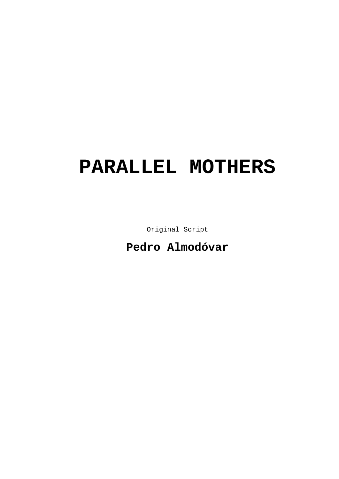# **PARALLEL MOTHERS**

Original Script

## **Pedro Almodóvar**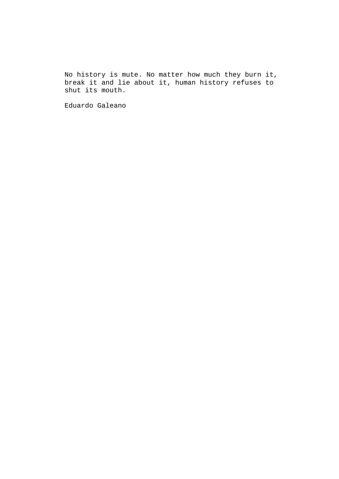No history is mute. No matter how much they burn it, break it and lie about it, human history refuses to shut its mouth.

Eduardo Galeano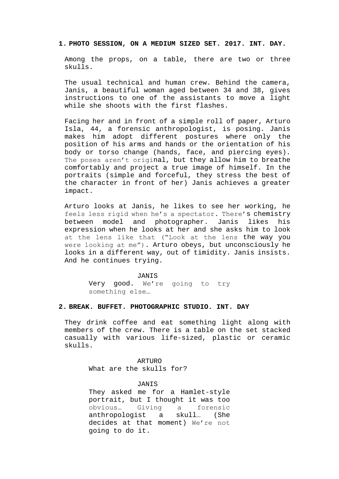## **1. PHOTO SESSION, ON A MEDIUM SIZED SET. 2017. INT. DAY.**

Among the props, on a table, there are two or three skulls.

The usual technical and human crew. Behind the camera, Janis, a beautiful woman aged between 34 and 38, gives instructions to one of the assistants to move a light while she shoots with the first flashes.

Facing her and in front of a simple roll of paper, Arturo Isla, 44, a forensic anthropologist, is posing. Janis makes him adopt different postures where only the position of his arms and hands or the orientation of his body or torso change (hands, face, and piercing eyes). The poses aren't original, but they allow him to breathe comfortably and project a true image of himself. In the portraits (simple and forceful, they stress the best of the character in front of her) Janis achieves a greater impact.

Arturo looks at Janis, he likes to see her working, he feels less rigid when he's a spectator. There's chemistry between model and photographer. Janis likes his expression when he looks at her and she asks him to look at the lens like that ("Look at the lens the way you were looking at me"). Arturo obeys, but unconsciously he looks in a different way, out of timidity. Janis insists. And he continues trying.

JANIS

Very good. We're going to try something else…

## **2. BREAK. BUFFET. PHOTOGRAPHIC STUDIO. INT. DAY**

They drink coffee and eat something light along with members of the crew. There is a table on the set stacked casually with various life-sized, plastic or ceramic skulls.

> ARTURO What are the skulls for?

> > JANIS

They asked me for a Hamlet-style portrait, but I thought it was too obvious… Giving a forensic anthropologist a skull… (She decides at that moment) We're not going to do it.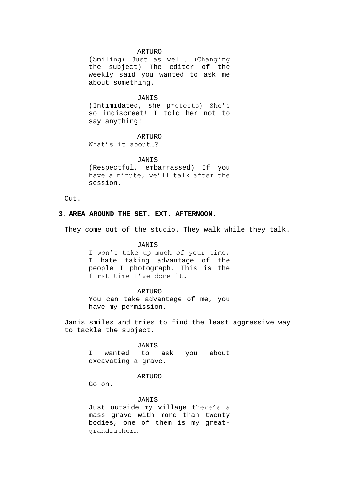#### ARTURO

(Smiling) Just as well… (Changing the subject) The editor of the weekly said you wanted to ask me about something.

#### JANIS

(Intimidated, she protests) She's so indiscreet! I told her not to say anything!

ARTURO

What's it about…?

JANIS

(Respectful, embarrassed) If you have a minute, we'll talk after the session.

Cut.

## **3. AREA AROUND THE SET. EXT. AFTERNOON.**

They come out of the studio. They walk while they talk.

## JANIS

I won't take up much of your time, I hate taking advantage of the people I photograph. This is the first time I've done it.

ARTURO

You can take advantage of me, you have my permission.

Janis smiles and tries to find the least aggressive way to tackle the subject.

> JANIS I wanted to ask you about excavating a grave.

## ARTURO

Go on.

#### JANIS

Just outside my village there's a mass grave with more than twenty bodies, one of them is my greatgrandfather…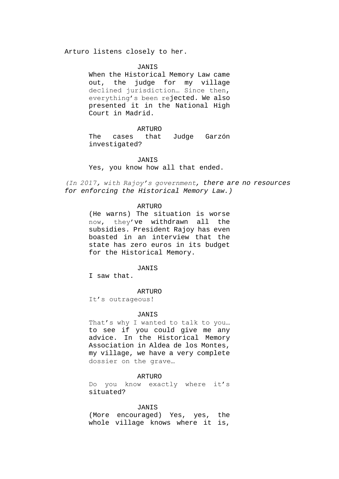Arturo listens closely to her.

#### JANIS

When the Historical Memory Law came out, the judge for my village declined jurisdiction… Since then, everything's been rejected. We also presented it in the National High Court in Madrid.

## ARTURO

The cases that Judge Garzón investigated?

JANIS

Yes, you know how all that ended.

*(In 2017, with Rajoy's government, there are no resources for enforcing the Historical Memory Law.)*

## ARTURO

(He warns) The situation is worse now, they've withdrawn all the subsidies. President Rajoy has even boasted in an interview that the state has zero euros in its budget for the Historical Memory.

#### JANIS

I saw that.

#### ARTURO

It's outrageous!

#### JANIS

That's why I wanted to talk to you… to see if you could give me any advice. In the Historical Memory Association in Aldea de los Montes, my village, we have a very complete dossier on the grave…

## ARTURO

Do you know exactly where it's situated?

#### JANIS

(More encouraged) Yes, yes, the whole village knows where it is,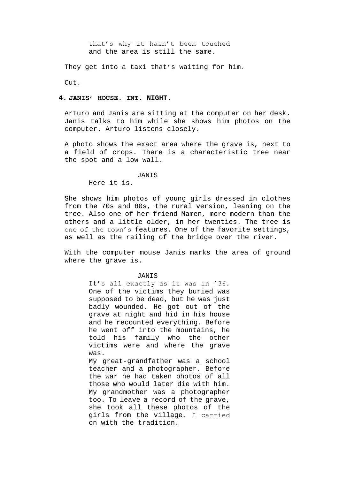that's why it hasn't been touched and the area is still the same.

They get into a taxi that's waiting for him.

Cut.

## **4. JANIS' HOUSE. INT. NIGHT.**

Arturo and Janis are sitting at the computer on her desk. Janis talks to him while she shows him photos on the computer. Arturo listens closely.

A photo shows the exact area where the grave is, next to a field of crops. There is a characteristic tree near the spot and a low wall.

#### JANIS

Here it is.

She shows him photos of young girls dressed in clothes from the 70s and 80s, the rural version, leaning on the tree. Also one of her friend Mamen, more modern than the others and a little older, in her twenties. The tree is one of the town's features. One of the favorite settings, as well as the railing of the bridge over the river.

With the computer mouse Janis marks the area of ground where the grave is.

#### JANIS

It's all exactly as it was in '36. One of the victims they buried was supposed to be dead, but he was just badly wounded. He got out of the grave at night and hid in his house and he recounted everything. Before he went off into the mountains, he told his family who the other victims were and where the grave was.

My great-grandfather was a school teacher and a photographer. Before the war he had taken photos of all those who would later die with him. My grandmother was a photographer too. To leave a record of the grave, she took all these photos of the girls from the village… I carried on with the tradition.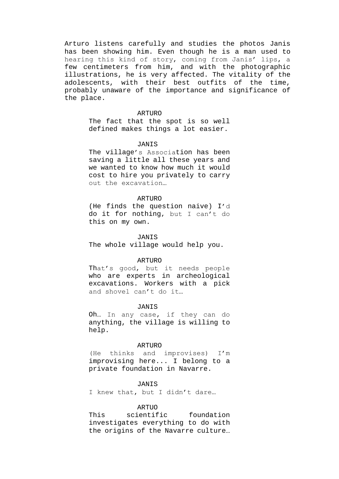Arturo listens carefully and studies the photos Janis has been showing him. Even though he is a man used to hearing this kind of story, coming from Janis' lips, a few centimeters from him, and with the photographic illustrations, he is very affected. The vitality of the adolescents, with their best outfits of the time, probably unaware of the importance and significance of the place.

#### ARTURO

The fact that the spot is so well defined makes things a lot easier.

#### JANIS

The village's Association has been saving a little all these years and we wanted to know how much it would cost to hire you privately to carry out the excavation…

#### $\Delta$ RTIRO

(He finds the question naive) I'd do it for nothing, but I can't do this on my own.

#### JANIS

The whole village would help you.

#### ARTURO

That's good, but it needs people who are experts in archeological excavations. Workers with a pick and shovel can't do it…

#### JANIS

Oh… In any case, if they can do anything, the village is willing to help.

#### ARTURO

(He thinks and improvises) I'm improvising here... I belong to a private foundation in Navarre.

#### JANIS

I knew that, but I didn't dare...

## ARTUO

This scientific foundation investigates everything to do with the origins of the Navarre culture…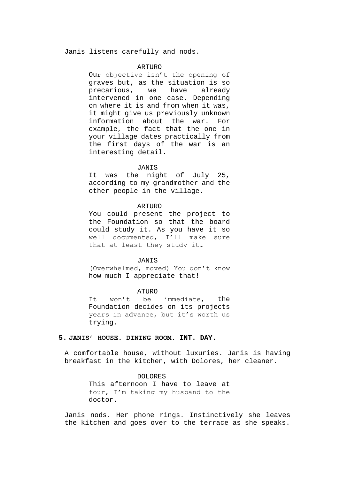Janis listens carefully and nods.

#### ARTURO

Our objective isn't the opening of graves but, as the situation is so precarious, we have already intervened in one case. Depending on where it is and from when it was, it might give us previously unknown information about the war. For example, the fact that the one in your village dates practically from the first days of the war is an interesting detail.

#### JANIS

It was the night of July 25, according to my grandmother and the other people in the village.

## ARTURO

You could present the project to the Foundation so that the board could study it. As you have it so well documented, I'll make sure that at least they study it…

#### **JANIS**

(Overwhelmed, moved) You don't know how much I appreciate that!

#### ATURO

It won't be immediate, the Foundation decides on its projects years in advance, but it's worth us trying.

## **5. JANIS' HOUSE. DINING ROOM. INT. DAY.**

A comfortable house, without luxuries. Janis is having breakfast in the kitchen, with Dolores, her cleaner.

> DOLORES This afternoon I have to leave at four, I'm taking my husband to the doctor.

Janis nods. Her phone rings. Instinctively she leaves the kitchen and goes over to the terrace as she speaks.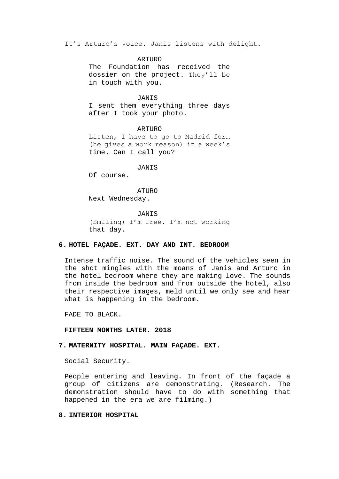It's Arturo's voice. Janis listens with delight.

ARTURO

The Foundation has received the dossier on the project. They'll be in touch with you.

## JANIS

I sent them everything three days after I took your photo.

ARTURO

Listen, I have to go to Madrid for… (he gives a work reason) in a week's time. Can I call you?

JANIS

Of course.

ATURO Next Wednesday.

JANIS (Smiling) I'm free. I'm not working that day.

## **6. HOTEL FAÇADE. EXT. DAY AND INT. BEDROOM**

Intense traffic noise. The sound of the vehicles seen in the shot mingles with the moans of Janis and Arturo in the hotel bedroom where they are making love. The sounds from inside the bedroom and from outside the hotel, also their respective images, meld until we only see and hear what is happening in the bedroom.

FADE TO BLACK.

**FIFTEEN MONTHS LATER. 2018**

## **7. MATERNITY HOSPITAL. MAIN FAÇADE. EXT.**

Social Security.

People entering and leaving. In front of the façade a group of citizens are demonstrating. (Research. The demonstration should have to do with something that happened in the era we are filming.)

## **8. INTERIOR HOSPITAL**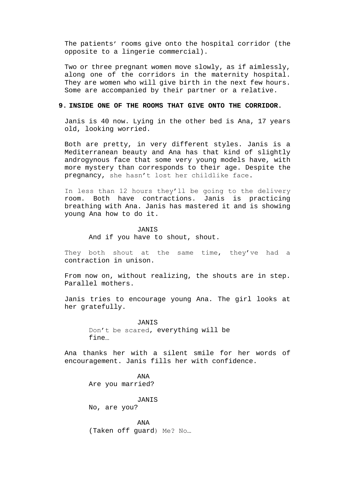The patients' rooms give onto the hospital corridor (the opposite to a lingerie commercial).

Two or three pregnant women move slowly, as if aimlessly, along one of the corridors in the maternity hospital. They are women who will give birth in the next few hours. Some are accompanied by their partner or a relative.

## **9. INSIDE ONE OF THE ROOMS THAT GIVE ONTO THE CORRIDOR.**

Janis is 40 now. Lying in the other bed is Ana, 17 years old, looking worried.

Both are pretty, in very different styles. Janis is a Mediterranean beauty and Ana has that kind of slightly androgynous face that some very young models have, with more mystery than corresponds to their age. Despite the pregnancy, she hasn't lost her childlike face.

In less than 12 hours they'll be going to the delivery room. Both have contractions. Janis is practicing breathing with Ana. Janis has mastered it and is showing young Ana how to do it.

#### JANIS

And if you have to shout, shout.

They both shout at the same time, they've had a contraction in unison.

From now on, without realizing, the shouts are in step. Parallel mothers.

Janis tries to encourage young Ana. The girl looks at her gratefully.

> JANIS Don't be scared, everything will be fine…

Ana thanks her with a silent smile for her words of encouragement. Janis fills her with confidence.

> ANA Are you married?

JANIS No, are you?

ANA (Taken off guard) Me? No…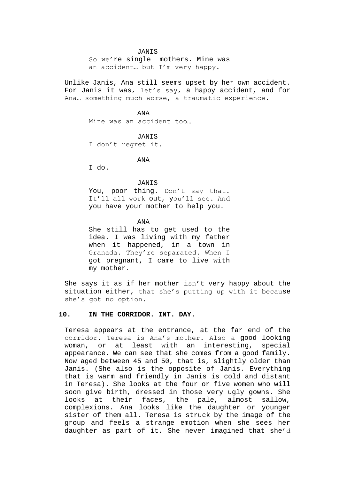#### JANIS

So we're single mothers. Mine was an accident… but I'm very happy.

Unlike Janis, Ana still seems upset by her own accident. For Janis it was, let's say, a happy accident, and for Ana… something much worse, a traumatic experience.

> ANA Mine was an accident too…

#### JANIS

I don't regret it.

## ANA

I do.

## JANIS

You, poor thing. Don't say that. It'll all work out, you'll see. And you have your mother to help you.

#### ANA

She still has to get used to the idea. I was living with my father when it happened, in a town in Granada. They're separated. When I got pregnant, I came to live with my mother.

She says it as if her mother isn't very happy about the situation either, that she's putting up with it because she's got no option.

## **10. IN THE CORRIDOR. INT. DAY.**

Teresa appears at the entrance, at the far end of the corridor. Teresa is Ana's mother. Also a good looking woman, or at least with an interesting, special appearance. We can see that she comes from a good family. Now aged between 45 and 50, that is, slightly older than Janis. (She also is the opposite of Janis. Everything that is warm and friendly in Janis is cold and distant in Teresa). She looks at the four or five women who will soon give birth, dressed in those very ugly gowns. She looks at their faces, the pale, almost sallow, complexions. Ana looks like the daughter or younger sister of them all. Teresa is struck by the image of the group and feels a strange emotion when she sees her daughter as part of it. She never imagined that she'd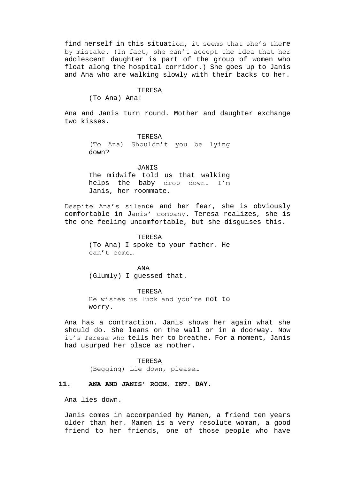find herself in this situation, it seems that she's there by mistake. (In fact, she can't accept the idea that her adolescent daughter is part of the group of women who float along the hospital corridor.) She goes up to Janis and Ana who are walking slowly with their backs to her.

#### TERESA

(To Ana) Ana!

Ana and Janis turn round. Mother and daughter exchange two kisses.

#### **TERESA**

(To Ana) Shouldn't you be lying down?

JANIS The midwife told us that walking helps the baby drop down. I'm Janis, her roommate.

Despite Ana's silence and her fear, she is obviously comfortable in Janis' company. Teresa realizes, she is the one feeling uncomfortable, but she disguises this.

> TERESA (To Ana) I spoke to your father. He can't come…

ANA (Glumly) I guessed that.

TERESA He wishes us luck and you're not to worry.

Ana has a contraction. Janis shows her again what she should do. She leans on the wall or in a doorway. Now it's Teresa who tells her to breathe. For a moment, Janis had usurped her place as mother.

> TERESA (Begging) Lie down, please…

## **11. ANA AND JANIS' ROOM. INT. DAY.**

Ana lies down.

Janis comes in accompanied by Mamen, a friend ten years older than her. Mamen is a very resolute woman, a good friend to her friends, one of those people who have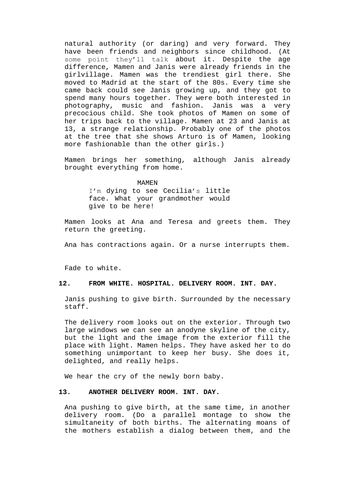natural authority (or daring) and very forward. They have been friends and neighbors since childhood. (At some point they'll talk about it. Despite the age difference, Mamen and Janis were already friends in the girlvillage. Mamen was the trendiest girl there. She moved to Madrid at the start of the 80s. Every time she came back could see Janis growing up, and they got to spend many hours together. They were both interested in photography, music and fashion. Janis was a very precocious child. She took photos of Mamen on some of her trips back to the village. Mamen at 23 and Janis at 13, a strange relationship. Probably one of the photos at the tree that she shows Arturo is of Mamen, looking more fashionable than the other girls.)

Mamen brings her something, although Janis already brought everything from home.

## MAMEN I'm dying to see Cecilia's little face. What your grandmother would give to be here!

Mamen looks at Ana and Teresa and greets them. They return the greeting.

Ana has contractions again. Or a nurse interrupts them.

Fade to white.

## **12. FROM WHITE. HOSPITAL. DELIVERY ROOM. INT. DAY.**

Janis pushing to give birth. Surrounded by the necessary staff.

The delivery room looks out on the exterior. Through two large windows we can see an anodyne skyline of the city, but the light and the image from the exterior fill the place with light. Mamen helps. They have asked her to do something unimportant to keep her busy. She does it, delighted, and really helps.

We hear the cry of the newly born baby.

## **13. ANOTHER DELIVERY ROOM. INT. DAY.**

Ana pushing to give birth, at the same time, in another delivery room. (Do a parallel montage to show the simultaneity of both births. The alternating moans of the mothers establish a dialog between them, and the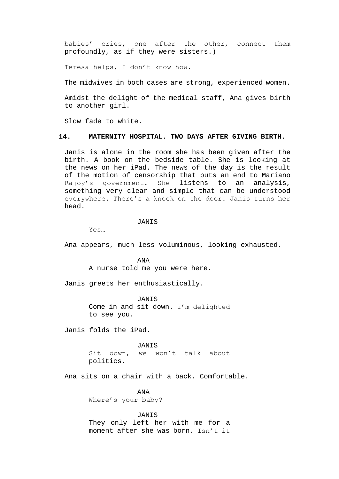babies' cries, one after the other, connect them profoundly, as if they were sisters.)

Teresa helps, I don't know how.

The midwives in both cases are strong, experienced women.

Amidst the delight of the medical staff, Ana gives birth to another girl.

Slow fade to white.

## **14. MATERNITY HOSPITAL. TWO DAYS AFTER GIVING BIRTH.**

Janis is alone in the room she has been given after the birth. A book on the bedside table. She is looking at the news on her iPad. The news of the day is the result of the motion of censorship that puts an end to Mariano Rajoy's government. She listens to an analysis, something very clear and simple that can be understood everywhere. There's a knock on the door. Janis turns her head.

JANIS

Yes…

Ana appears, much less voluminous, looking exhausted.

ANA A nurse told me you were here.

Janis greets her enthusiastically.

JANIS Come in and sit down. I'm delighted to see you.

Janis folds the iPad.

JANIS Sit down, we won't talk about politics.

Ana sits on a chair with a back. Comfortable.

ANA Where's your baby?

JANIS They only left her with me for a moment after she was born. Isn't it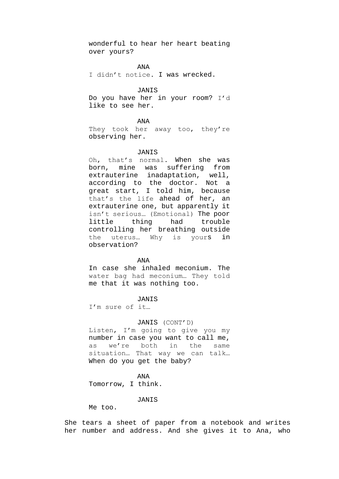wonderful to hear her heart beating over yours?

ANA

I didn't notice. I was wrecked.

## JANIS

Do you have her in your room? I'd like to see her.

## ANA

They took her away too, they're observing her.

## JANIS

Oh, that's normal. When she was born, mine was suffering from extrauterine inadaptation, well, according to the doctor. Not a great start, I told him, because that's the life ahead of her, an extrauterine one, but apparently it isn't serious… (Emotional) The poor little thing had trouble controlling her breathing outside the uterus… Why is yours in observation?

#### ANA

In case she inhaled meconium. The water bag had meconium… They told me that it was nothing too.

#### **JANIS**

I'm sure of it…

## JANIS (CONT'D)

Listen, I'm going to give you my number in case you want to call me, as we're both in the same situation… That way we can talk… When do you get the baby?

#### ANA

Tomorrow, I think.

#### JANIS

Me too.

She tears a sheet of paper from a notebook and writes her number and address. And she gives it to Ana, who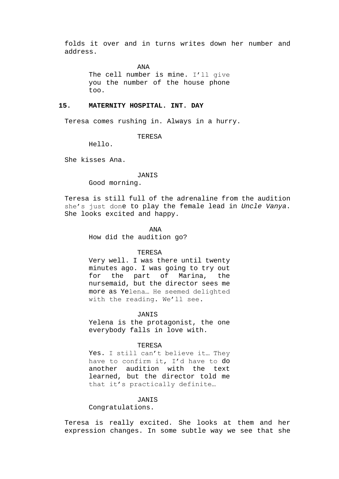folds it over and in turns writes down her number and address.

ANA

The cell number is mine. I'll give you the number of the house phone too.

## **15. MATERNITY HOSPITAL. INT. DAY**

Teresa comes rushing in. Always in a hurry.

**TERESA** 

Hello.

She kisses Ana.

#### JANIS

Good morning.

Teresa is still full of the adrenaline from the audition she's just done to play the female lead in *Uncle Vanya*. She looks excited and happy.

> ANA How did the audition go?

#### TERESA

Very well. I was there until twenty minutes ago. I was going to try out for the part of Marina, the nursemaid, but the director sees me more as Yelena… He seemed delighted with the reading. We'll see.

#### JANIS

Yelena is the protagonist, the one everybody falls in love with.

## TERESA

Yes. I still can't believe it… They have to confirm it, I'd have to do another audition with the text learned, but the director told me that it's practically definite…

#### JANIS

Congratulations.

Teresa is really excited. She looks at them and her expression changes. In some subtle way we see that she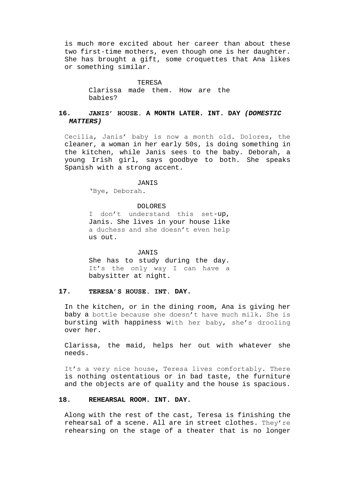is much more excited about her career than about these two first-time mothers, even though one is her daughter. She has brought a gift, some croquettes that Ana likes or something similar.

#### TERESA

Clarissa made them. How are the babies?

## **16. JANIS' HOUSE. A MONTH LATER. INT. DAY** *(DOMESTIC MATTERS)*

Cecilia, Janis' baby is now a month old. Dolores, the cleaner, a woman in her early 50s, is doing something in the kitchen, while Janis sees to the baby. Deborah, a young Irish girl, says goodbye to both. She speaks Spanish with a strong accent.

#### JANIS

'Bye, Deborah.

DOLORES

I don't understand this set-up, Janis. She lives in your house like a duchess and she doesn't even help us out.

## JANIS

She has to study during the day. It's the only way I can have a babysitter at night.

## **17. TERESA'S HOUSE. INT. DAY.**

In the kitchen, or in the dining room, Ana is giving her baby a bottle because she doesn't have much milk. She is bursting with happiness with her baby, she's drooling over her.

Clarissa, the maid, helps her out with whatever she needs.

It's a very nice house, Teresa lives comfortably. There is nothing ostentatious or in bad taste, the furniture and the objects are of quality and the house is spacious.

## **18. REHEARSAL ROOM. INT. DAY.**

Along with the rest of the cast, Teresa is finishing the rehearsal of a scene. All are in street clothes. They're rehearsing on the stage of a theater that is no longer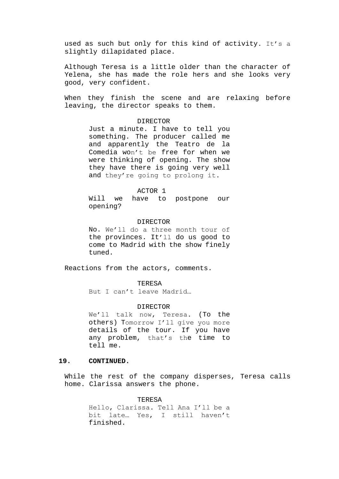used as such but only for this kind of activity. It's a slightly dilapidated place.

Although Teresa is a little older than the character of Yelena, she has made the role hers and she looks very good, very confident.

When they finish the scene and are relaxing before leaving, the director speaks to them.

#### DIRECTOR

Just a minute. I have to tell you something. The producer called me and apparently the Teatro de la Comedia won't be free for when we were thinking of opening. The show they have there is going very well and they're going to prolong it.

## ACTOR 1

Will we have to postpone our opening?

#### DIRECTOR

No. We'll do a three month tour of the provinces. It'll do us good to come to Madrid with the show finely tuned.

Reactions from the actors, comments.

#### TERESA

But I can't leave Madrid…

#### DIRECTOR

We'll talk now, Teresa. (To the others) Tomorrow I'll give you more details of the tour. If you have any problem, that's the time to tell me.

## **19. CONTINUED.**

While the rest of the company disperses, Teresa calls home. Clarissa answers the phone.

#### TERESA

Hello, Clarissa. Tell Ana I'll be a bit late… Yes, I still haven't finished.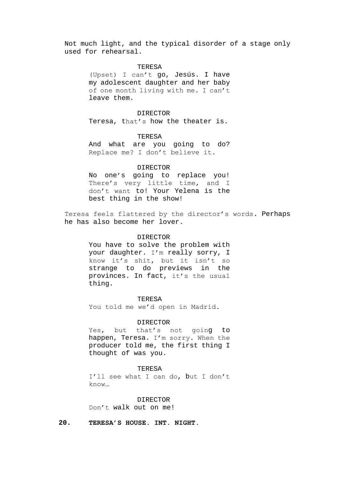Not much light, and the typical disorder of a stage only used for rehearsal.

#### TERESA

(Upset) I can't go, Jesús. I have my adolescent daughter and her baby of one month living with me. I can't leave them.

DIRECTOR Teresa, that's how the theater is.

## TERESA

And what are you going to do? Replace me? I don't believe it.

#### DIRECTOR

No one's going to replace you! There's very little time, and I don't want to! Your Yelena is the best thing in the show!

Teresa feels flattered by the director's words. Perhaps he has also become her lover.

#### DIRECTOR

You have to solve the problem with your daughter. I'm really sorry, I know it's shit, but it isn't so strange to do previews in the provinces. In fact, it's the usual thing.

**TERESA** You told me we'd open in Madrid.

#### DIRECTOR

Yes, but that's not going to happen, Teresa. I'm sorry. When the producer told me, the first thing I thought of was you.

#### TERESA

I'll see what I can do, but I don't know…

DIRECTOR Don't walk out on me!

**20. TERESA'S HOUSE. INT. NIGHT.**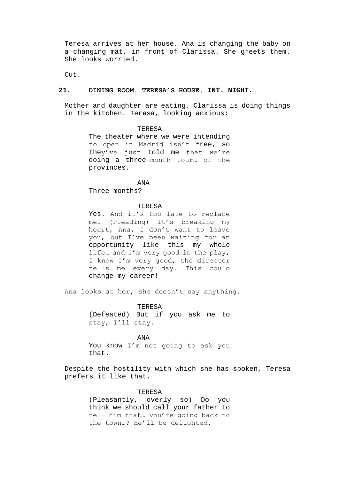Teresa arrives at her house. Ana is changing the baby on a changing mat, in front of Clarissa. She greets them. She looks worried.

Cut.

## **21. DINING ROOM. TERESA'S HOUSE. INT. NIGHT.**

Mother and daughter are eating. Clarissa is doing things in the kitchen. Teresa, looking anxious:

## **TERESA**

The theater where we were intending to open in Madrid isn't free, so they've just told me that we're doing a three-month tour… of the provinces.

ANA Three months?

#### TERESA

Yes. And it's too late to replace me. (Pleading) It's breaking my heart, Ana, I don't want to leave you, but I've been waiting for an opportunity like this my whole life… and I'm very good in the play, I know I'm very good, the director tells me every day… This could change my career!

Ana looks at her, she doesn't say anything.

**TERESA** (Defeated) But if you ask me to stay, I'll stay.

#### ANA

You know I'm not going to ask you that.

Despite the hostility with which she has spoken, Teresa prefers it like that.

## TERESA

(Pleasantly, overly so) Do you think we should call your father to tell him that… you're going back to the town…? He'll be delighted.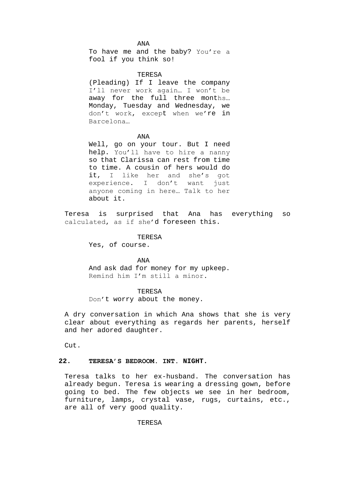ANA

To have me and the baby? You're a fool if you think so!

## TERESA

(Pleading) If I leave the company I'll never work again… I won't be away for the full three months… Monday, Tuesday and Wednesday, we don't work, except when we're in Barcelona…

#### ANA

Well, go on your tour. But I need help. You'll have to hire a nanny so that Clarissa can rest from time to time. A cousin of hers would do it, I like her and she's got experience. I don't want just anyone coming in here… Talk to her about it.

Teresa is surprised that Ana has everything so calculated, as if she'd foreseen this.

#### TERESA

Yes, of course.

ANA And ask dad for money for my upkeep. Remind him I'm still a minor.

TERESA

Don't worry about the money.

A dry conversation in which Ana shows that she is very clear about everything as regards her parents, herself and her adored daughter.

Cut.

## **22. TERESA'S BEDROOM. INT. NIGHT.**

Teresa talks to her ex-husband. The conversation has already begun. Teresa is wearing a dressing gown, before going to bed. The few objects we see in her bedroom, furniture, lamps, crystal vase, rugs, curtains, etc., are all of very good quality.

**TERESA**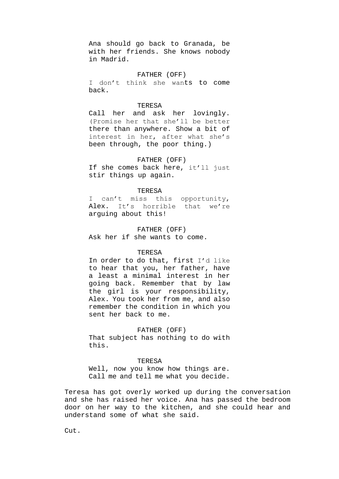Ana should go back to Granada, be with her friends. She knows nobody in Madrid.

#### FATHER (OFF)

I don't think she wants to come back.

#### TERESA

Call her and ask her lovingly. (Promise her that she'll be better there than anywhere. Show a bit of interest in her, after what she's been through, the poor thing.)

## FATHER (OFF)

If she comes back here, it'll just stir things up again.

#### **TERESA**

I can't miss this opportunity, Alex. It's horrible that we're arguing about this!

#### FATHER (OFF)

Ask her if she wants to come.

## TERESA

In order to do that, first I'd like to hear that you, her father, have a least a minimal interest in her going back. Remember that by law the girl is your responsibility, Alex. You took her from me, and also remember the condition in which you sent her back to me.

#### FATHER (OFF)

That subject has nothing to do with this.

#### TERESA

Well, now you know how things are. Call me and tell me what you decide.

Teresa has got overly worked up during the conversation and she has raised her voice. Ana has passed the bedroom door on her way to the kitchen, and she could hear and understand some of what she said.

Cut.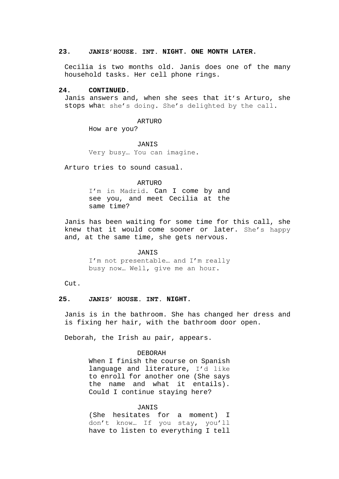#### **23. JANIS'HOUSE. INT. NIGHT. ONE MONTH LATER.**

Cecilia is two months old. Janis does one of the many household tasks. Her cell phone rings.

#### **24. CONTINUED.**

Janis answers and, when she sees that it's Arturo, she stops what she's doing. She's delighted by the call.

#### ARTURO

How are you?

#### JANIS

Very busy… You can imagine.

Arturo tries to sound casual.

#### ARTURO

I'm in Madrid. Can I come by and see you, and meet Cecilia at the same time?

Janis has been waiting for some time for this call, she knew that it would come sooner or later. She's happy and, at the same time, she gets nervous.

## JANIS

I'm not presentable… and I'm really busy now… Well, give me an hour.

Cut.

## **25. JANIS' HOUSE. INT. NIGHT.**

Janis is in the bathroom. She has changed her dress and is fixing her hair, with the bathroom door open.

Deborah, the Irish au pair, appears.

## DEBORAH

When I finish the course on Spanish language and literature, I'd like to enroll for another one (She says the name and what it entails). Could I continue staying here?

#### JANIS

(She hesitates for a moment) I don't know… If you stay, you'll have to listen to everything I tell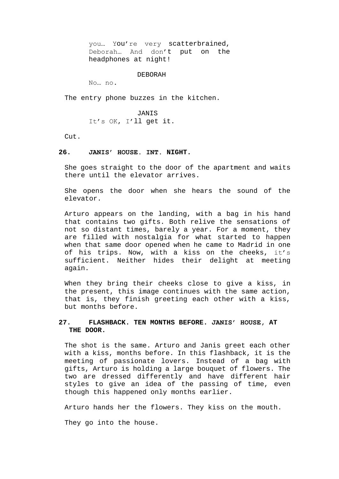you… You're very scatterbrained, Deborah… And don't put on the headphones at night!

DEBORAH

No… no.

The entry phone buzzes in the kitchen.

JANIS It's OK, I'll get it.

Cut.

## **26. JANIS' HOUSE. INT. NIGHT.**

She goes straight to the door of the apartment and waits there until the elevator arrives.

She opens the door when she hears the sound of the elevator.

Arturo appears on the landing, with a bag in his hand that contains two gifts. Both relive the sensations of not so distant times, barely a year. For a moment, they are filled with nostalgia for what started to happen when that same door opened when he came to Madrid in one of his trips. Now, with a kiss on the cheeks, it's sufficient. Neither hides their delight at meeting again.

When they bring their cheeks close to give a kiss, in the present, this image continues with the same action, that is, they finish greeting each other with a kiss, but months before.

## **27. FLASHBACK. TEN MONTHS BEFORE. JANIS' HOUSE, AT THE DOOR.**

The shot is the same. Arturo and Janis greet each other with a kiss, months before. In this flashback, it is the meeting of passionate lovers. Instead of a bag with gifts, Arturo is holding a large bouquet of flowers. The two are dressed differently and have different hair styles to give an idea of the passing of time, even though this happened only months earlier.

Arturo hands her the flowers. They kiss on the mouth.

They go into the house.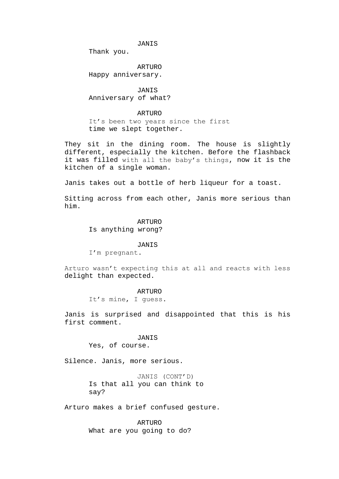#### JANIS

Thank you.

## ARTURO Happy anniversary.

JANIS Anniversary of what?

#### ARTURO

It's been two years since the first time we slept together.

They sit in the dining room. The house is slightly different, especially the kitchen. Before the flashback it was filled with all the baby's things, now it is the kitchen of a single woman.

Janis takes out a bottle of herb liqueur for a toast.

Sitting across from each other, Janis more serious than him.

## ARTURO Is anything wrong?

#### **JANIS**

I'm pregnant.

Arturo wasn't expecting this at all and reacts with less delight than expected.

> ARTURO It's mine, I guess.

Janis is surprised and disappointed that this is his first comment.

> JANIS Yes, of course.

Silence. Janis, more serious.

JANIS (CONT'D) Is that all you can think to say?

Arturo makes a brief confused gesture.

ARTURO What are you going to do?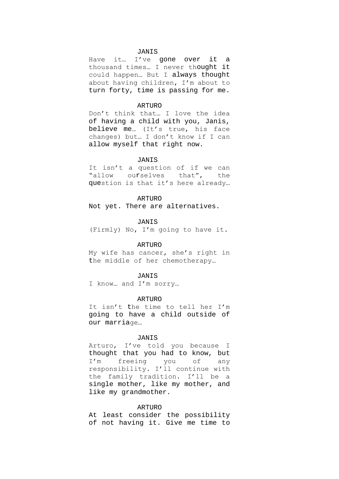#### JANIS

Have it… I've gone over it a thousand times… I never thought it could happen… But I always thought about having children, I'm about to turn forty, time is passing for me.

#### ARTURO

Don't think that… I love the idea of having a child with you, Janis, believe me… (It's true, his face changes) but… I don't know if I can allow myself that right now.

#### JANIS

It isn't a question of if we can "allow ourselves that", the question is that it's here already…

#### ARTURO

Not yet. There are alternatives.

JANIS

(Firmly) No, I'm going to have it.

#### ARTURO

My wife has cancer, she's right in the middle of her chemotherapy…

#### JANIS

I know… and I'm sorry…

#### ARTURO

It isn't the time to tell her I'm going to have a child outside of our marriage…

#### JANIS

Arturo, I've told you because I thought that you had to know, but I'm freeing you of any responsibility. I'll continue with the family tradition. I'll be a single mother, like my mother, and like my grandmother.

#### ARTURO

At least consider the possibility of not having it. Give me time to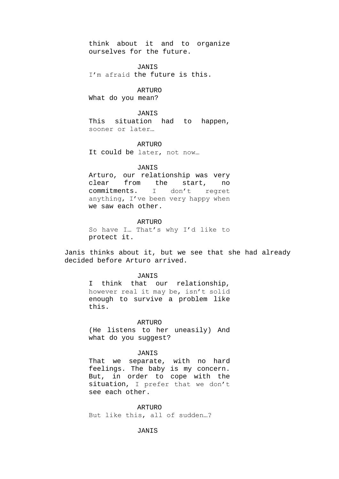think about it and to organize ourselves for the future.

JANIS I'm afraid the future is this.

## ARTURO

What do you mean?

JANIS

This situation had to happen, sooner or later…

#### ARTURO

It could be later, not now…

## JANIS

Arturo, our relationship was very clear from the start, no commitments. I don't regret anything, I've been very happy when we saw each other.

ARTURO So have I… That's why I'd like to protect it.

Janis thinks about it, but we see that she had already decided before Arturo arrived.

#### JANIS

I think that our relationship, however real it may be, isn't solid enough to survive a problem like this.

#### ARTURO

(He listens to her uneasily) And what do you suggest?

## JANIS

That we separate, with no hard feelings. The baby is my concern. But, in order to cope with the situation, I prefer that we don't see each other.

ARTURO But like this, all of sudden…?

JANIS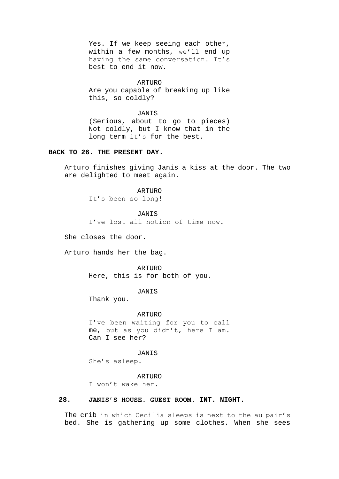Yes. If we keep seeing each other, within a few months, we'll end up having the same conversation. It's best to end it now.

ARTURO Are you capable of breaking up like this, so coldly?

#### JANIS

(Serious, about to go to pieces) Not coldly, but I know that in the long term it's for the best.

## **BACK TO 26. THE PRESENT DAY.**

Arturo finishes giving Janis a kiss at the door. The two are delighted to meet again.

> ARTURO It's been so long!

JANIS I've lost all notion of time now.

She closes the door.

Arturo hands her the bag.

ARTURO Here, this is for both of you.

JANIS

Thank you.

ARTURO I've been waiting for you to call me, but as you didn't, here I am. Can I see her?

JANIS

She's asleep.

ARTURO

I won't wake her.

## **28. JANIS'S HOUSE. GUEST ROOM. INT. NIGHT.**

The crib in which Cecilia sleeps is next to the au pair's bed. She is gathering up some clothes. When she sees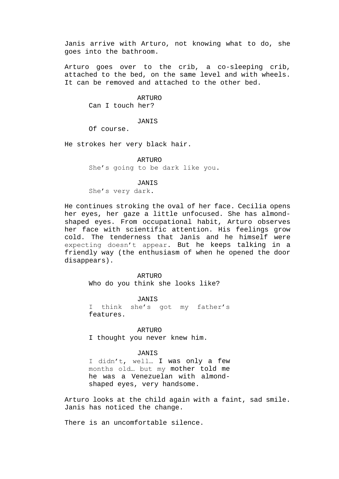Janis arrive with Arturo, not knowing what to do, she goes into the bathroom.

Arturo goes over to the crib, a co-sleeping crib, attached to the bed, on the same level and with wheels. It can be removed and attached to the other bed.

> ARTURO Can I touch her?

> > JANIS

Of course.

He strokes her very black hair.

ARTURO She's going to be dark like you.

JANIS She's very dark.

He continues stroking the oval of her face. Cecilia opens her eyes, her gaze a little unfocused. She has almondshaped eyes. From occupational habit, Arturo observes her face with scientific attention. His feelings grow cold. The tenderness that Janis and he himself were expecting doesn't appear. But he keeps talking in a friendly way (the enthusiasm of when he opened the door disappears).

> ARTURO Who do you think she looks like?

JANIS I think she's got my father's features.

ARTURO

I thought you never knew him.

## JANIS

I didn't, well… I was only a few months old… but my mother told me he was a Venezuelan with almondshaped eyes, very handsome.

Arturo looks at the child again with a faint, sad smile. Janis has noticed the change.

There is an uncomfortable silence.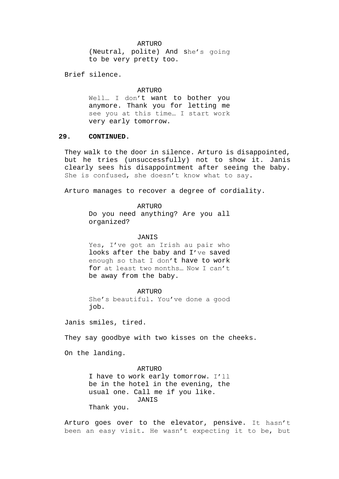#### ARTURO

(Neutral, polite) And she's going to be very pretty too.

Brief silence.

ARTURO Well… I don't want to bother you anymore. Thank you for letting me see you at this time… I start work very early tomorrow.

## **29. CONTINUED.**

They walk to the door in silence. Arturo is disappointed, but he tries (unsuccessfully) not to show it. Janis clearly sees his disappointment after seeing the baby. She is confused, she doesn't know what to say.

Arturo manages to recover a degree of cordiality.

ARTURO

Do you need anything? Are you all organized?

JANIS

Yes, I've got an Irish au pair who looks after the baby and I've saved enough so that I don't have to work for at least two months… Now I can't be away from the baby.

ARTURO She's beautiful. You've done a good job.

Janis smiles, tired.

They say goodbye with two kisses on the cheeks.

On the landing.

ARTURO

I have to work early tomorrow. I'll be in the hotel in the evening, the usual one. Call me if you like. JANIS Thank you.

Arturo goes over to the elevator, pensive. It hasn't been an easy visit. He wasn't expecting it to be, but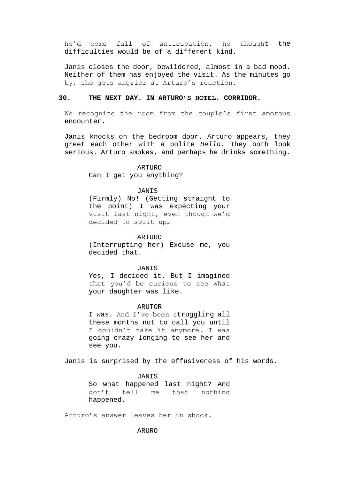he'd come full of anticipation, he thought the difficulties would be of a different kind.

Janis closes the door, bewildered, almost in a bad mood. Neither of them has enjoyed the visit. As the minutes go by, she gets angrier at Arturo's reaction.

## **30. THE NEXT DAY. IN ARTURO'S HOTEL. CORRIDOR.**

We recognize the room from the couple's first amorous encounter.

Janis knocks on the bedroom door. Arturo appears, they greet each other with a polite *Hello*. They both look serious. Arturo smokes, and perhaps he drinks something.

#### ARTURO

Can I get you anything?

#### JANIS

(Firmly) No! (Getting straight to the point) I was expecting your visit last night, even though we'd decided to split up…

#### ARTURO

(Interrupting her) Excuse me, you decided that.

#### JANIS

Yes, I decided it. But I imagined that you'd be curious to see what your daughter was like.

#### ARUTOR

I was. And I've been struggling all these months not to call you until I couldn't take it anymore… I was going crazy longing to see her and see you.

Janis is surprised by the effusiveness of his words.

JANIS So what happened last night? And don't tell me that nothing happened.

Arturo's answer leaves her in shock.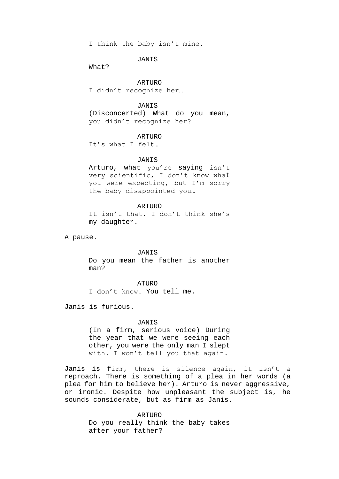I think the baby isn't mine.

JANIS

What?

ARTURO

I didn't recognize her…

## JANIS

(Disconcerted) What do you mean, you didn't recognize her?

## ARTURO

It's what I felt…

#### JANIS

Arturo, what you're saying isn't very scientific, I don't know what you were expecting, but I'm sorry the baby disappointed you…

## ARTURO

It isn't that. I don't think she's my daughter.

A pause.

## JANIS

Do you mean the father is another man?

## ATURO

I don't know. You tell me.

Janis is furious.

#### JANIS

(In a firm, serious voice) During the year that we were seeing each other, you were the only man I slept with. I won't tell you that again.

Janis is firm, there is silence again, it isn't a reproach. There is something of a plea in her words (a plea for him to believe her). Arturo is never aggressive, or ironic. Despite how unpleasant the subject is, he sounds considerate, but as firm as Janis.

## ARTURO Do you really think the baby takes after your father?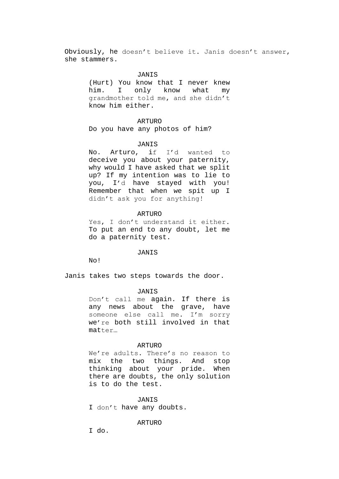Obviously, he doesn't believe it. Janis doesn't answer, she stammers.

#### JANIS

(Hurt) You know that I never knew him. I only know what my grandmother told me, and she didn't know him either.

#### ARTURO

Do you have any photos of him?

#### JANIS

No. Arturo, if I'd wanted to deceive you about your paternity, why would I have asked that we split up? If my intention was to lie to you, I'd have stayed with you! Remember that when we spit up I didn't ask you for anything!

#### ARTURO

Yes, I don't understand it either. To put an end to any doubt, let me do a paternity test.

#### JANIS

No!

Janis takes two steps towards the door.

#### JANIS

Don't call me again. If there is any news about the grave, have someone else call me. I'm sorry we're both still involved in that matter…

#### ARTURO

We're adults. There's no reason to mix the two things. And stop thinking about your pride. When there are doubts, the only solution is to do the test.

#### JANIS

I don't have any doubts.

#### ARTURO

I do.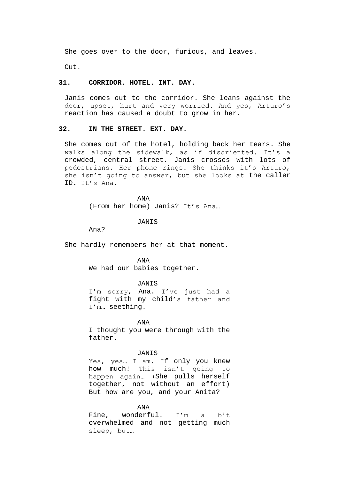She goes over to the door, furious, and leaves.

Cut.

#### **31. CORRIDOR. HOTEL. INT. DAY.**

Janis comes out to the corridor. She leans against the door, upset, hurt and very worried. And yes, Arturo's reaction has caused a doubt to grow in her.

## **32. IN THE STREET. EXT. DAY.**

She comes out of the hotel, holding back her tears. She walks along the sidewalk, as if disoriented. It's a crowded, central street. Janis crosses with lots of pedestrians. Her phone rings. She thinks it's Arturo, she isn't going to answer, but she looks at the caller ID. It's Ana.

> ANA (From her home) Janis? It's Ana…

> > JANIS

Ana?

She hardly remembers her at that moment.

ANA We had our babies together.

JANIS

I'm sorry, Ana. I've just had a fight with my child's father and I'm… seething.

ANA

I thought you were through with the father.

## JANIS

Yes, yes… I am. If only you knew how much! This isn't going to happen again… (She pulls herself together, not without an effort) But how are you, and your Anita?

#### ANA

Fine, wonderful. I'm a bit overwhelmed and not getting much sleep, but…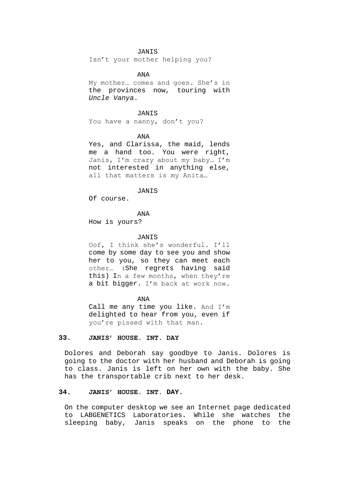#### JANIS

Isn't your mother helping you?

#### ANA

My mother… comes and goes. She's in the provinces now, touring with *Uncle Vanya*.

JANIS

You have a nanny, don't you?

#### ANA

Yes, and Clarissa, the maid, lends me a hand too. You were right, Janis, I'm crazy about my baby… I'm not interested in anything else, all that matters is my Anita…

## JANIS

Of course.

## ANA

How is yours?

#### JANIS

Oof, I think she's wonderful. I'll come by some day to see you and show her to you, so they can meet each other… (She regrets having said this) In a few months, when they're a bit bigger. I'm back at work now.

ANA

Call me any time you like. And I'm delighted to hear from you, even if you're pissed with that man.

## **33. JANIS' HOUSE. INT. DAY**

Dolores and Deborah say goodbye to Janis. Dolores is going to the doctor with her husband and Deborah is going to class. Janis is left on her own with the baby. She has the transportable crib next to her desk.

## **34. JANIS' HOUSE. INT. DAY.**

On the computer desktop we see an Internet page dedicated to LABGENETICS Laboratories. While she watches the sleeping baby, Janis speaks on the phone to the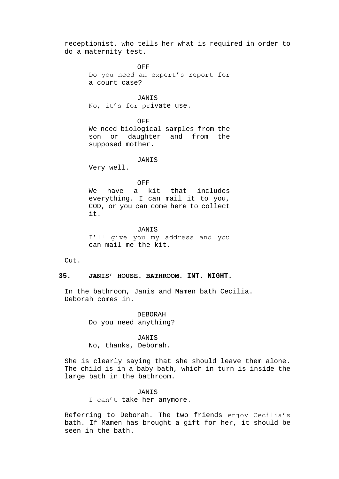receptionist, who tells her what is required in order to do a maternity test.

> OFF Do you need an expert's report for a court case?

JANIS No, it's for private use.

OFF We need biological samples from the son or daughter and from the supposed mother.

JANIS

Very well.

#### OFF

We have a kit that includes everything. I can mail it to you, COD, or you can come here to collect it.

#### JANIS

I'll give you my address and you can mail me the kit.

Cut.

#### **35. JANIS' HOUSE. BATHROOM. INT. NIGHT.**

In the bathroom, Janis and Mamen bath Cecilia. Deborah comes in.

> DEBORAH Do you need anything?

JANIS No, thanks, Deborah.

She is clearly saying that she should leave them alone. The child is in a baby bath, which in turn is inside the large bath in the bathroom.

> JANIS I can't take her anymore.

Referring to Deborah. The two friends enjoy Cecilia's bath. If Mamen has brought a gift for her, it should be seen in the bath.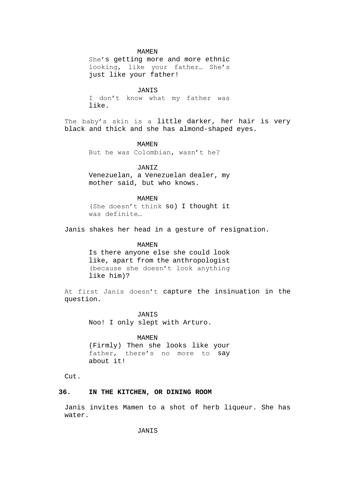#### MAMEN

She's getting more and more ethnic looking, like your father… She's just like your father!

JANIS

I don't know what my father was like.

The baby's skin is a little darker, her hair is very black and thick and she has almond-shaped eyes.

MAMEN

But he was Colombian, wasn't he?

JANIZ

Venezuelan, a Venezuelan dealer, my mother said, but who knows.

#### MAMEN

(She doesn't think so) I thought it was definite…

Janis shakes her head in a gesture of resignation.

## MAMEN

Is there anyone else she could look like, apart from the anthropologist (because she doesn't look anything like him)?

At first Janis doesn't capture the insinuation in the question.

> JANIS Noo! I only slept with Arturo.

> > MAMEN

(Firmly) Then she looks like your father, there's no more to say about it!

Cut.

## **36. IN THE KITCHEN, OR DINING ROOM**

Janis invites Mamen to a shot of herb liqueur. She has water.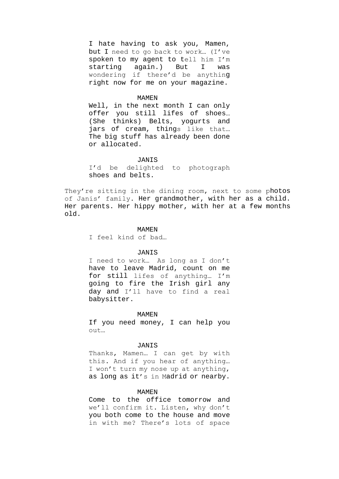I hate having to ask you, Mamen, but I need to go back to work… (I've spoken to my agent to tell him I'm starting again.) But I was wondering if there'd be anything right now for me on your magazine.

#### MAMEN

Well, in the next month I can only offer you still lifes of shoes… (She thinks) Belts, yogurts and jars of cream, things like that… The big stuff has already been done or allocated.

#### **JANIS**

I'd be delighted to photograph shoes and belts.

They're sitting in the dining room, next to some photos of Janis' family. Her grandmother, with her as a child. Her parents. Her hippy mother, with her at a few months old.

#### MAMEN

I feel kind of bad…

## JANIS

I need to work… As long as I don't have to leave Madrid, count on me for still lifes of anything… I'm going to fire the Irish girl any day and I'll have to find a real babysitter.

#### MAMEN

If you need money, I can help you out…

#### JANIS

Thanks, Mamen… I can get by with this. And if you hear of anything… I won't turn my nose up at anything, as long as it's in Madrid or nearby.

### MAMEN

Come to the office tomorrow and we'll confirm it. Listen, why don't you both come to the house and move in with me? There's lots of space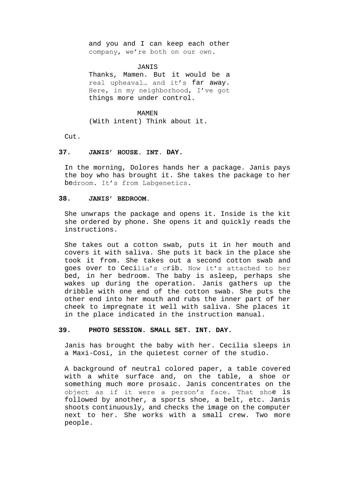and you and I can keep each other company, we're both on our own.

JANIS

Thanks, Mamen. But it would be a real upheaval… and it's far away. Here, in my neighborhood, I've got things more under control.

MAMEN

(With intent) Think about it.

Cut.

# **37. JANIS' HOUSE. INT. DAY.**

In the morning, Dolores hands her a package. Janis pays the boy who has brought it. She takes the package to her bedroom. It's from Labgenetics.

# **38. JANIS' BEDROOM.**

She unwraps the package and opens it. Inside is the kit she ordered by phone. She opens it and quickly reads the instructions.

She takes out a cotton swab, puts it in her mouth and covers it with saliva. She puts it back in the place she took it from. She takes out a second cotton swab and goes over to Cecilia's crib. Now it's attached to her bed, in her bedroom. The baby is asleep, perhaps she wakes up during the operation. Janis gathers up the dribble with one end of the cotton swab. She puts the other end into her mouth and rubs the inner part of her cheek to impregnate it well with saliva. She places it in the place indicated in the instruction manual.

# **39. PHOTO SESSION. SMALL SET. INT. DAY.**

Janis has brought the baby with her. Cecilia sleeps in a Maxi-Cosi, in the quietest corner of the studio.

A background of neutral colored paper, a table covered with a white surface and, on the table, a shoe or something much more prosaic. Janis concentrates on the object as if it were a person's face. That shoe is followed by another, a sports shoe, a belt, etc. Janis shoots continuously, and checks the image on the computer next to her. She works with a small crew. Two more people.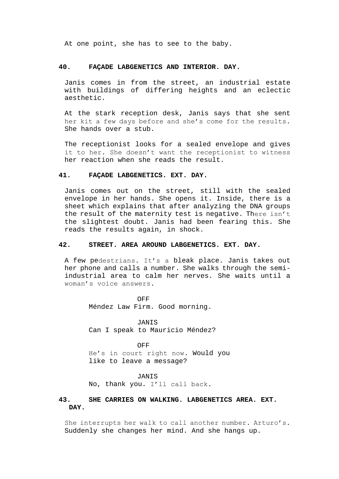At one point, she has to see to the baby.

## **40. FAÇADE LABGENETICS AND INTERIOR. DAY.**

Janis comes in from the street, an industrial estate with buildings of differing heights and an eclectic aesthetic.

At the stark reception desk, Janis says that she sent her kit a few days before and she's come for the results. She hands over a stub.

The receptionist looks for a sealed envelope and gives it to her. She doesn't want the receptionist to witness her reaction when she reads the result.

## **41. FAÇADE LABGENETICS. EXT. DAY.**

Janis comes out on the street, still with the sealed envelope in her hands. She opens it. Inside, there is a sheet which explains that after analyzing the DNA groups the result of the maternity test is negative. There isn't the slightest doubt. Janis had been fearing this. She reads the results again, in shock.

## **42. STREET. AREA AROUND LABGENETICS. EXT. DAY.**

A few pedestrians. It's a bleak place. Janis takes out her phone and calls a number. She walks through the semiindustrial area to calm her nerves. She waits until a woman's voice answers.

> OFF Méndez Law Firm. Good morning.

JANIS Can I speak to Mauricio Méndez?

OFF

He's in court right now. Would you like to leave a message?

JANIS

No, thank you. I'll call back.

# **43. SHE CARRIES ON WALKING. LABGENETICS AREA. EXT. DAY.**

She interrupts her walk to call another number. Arturo's. Suddenly she changes her mind. And she hangs up.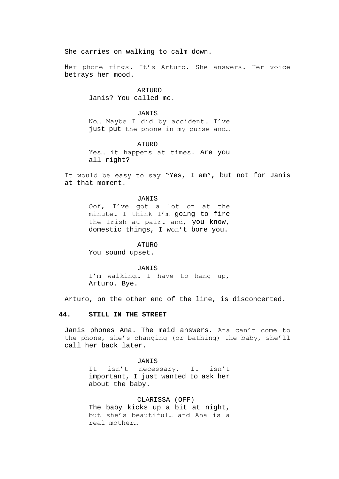She carries on walking to calm down.

Her phone rings. It's Arturo. She answers. Her voice betrays her mood.

> ARTURO Janis? You called me.

JANIS No… Maybe I did by accident… I've just put the phone in my purse and…

ATURO Yes… it happens at times. Are you all right?

It would be easy to say "Yes, I am", but not for Janis at that moment.

# JANIS

Oof, I've got a lot on at the minute… I think I'm going to fire the Irish au pair… and, you know, domestic things, I won't bore you.

ATURO You sound upset.

JANIS

I'm walking… I have to hang up, Arturo. Bye.

Arturo, on the other end of the line, is disconcerted.

# **44. STILL IN THE STREET**

Janis phones Ana. The maid answers. Ana can't come to the phone, she's changing (or bathing) the baby, she'll call her back later.

JANIS

It isn't necessary. It isn't important, I just wanted to ask her about the baby.

CLARISSA (OFF) The baby kicks up a bit at night, but she's beautiful… and Ana is a real mother…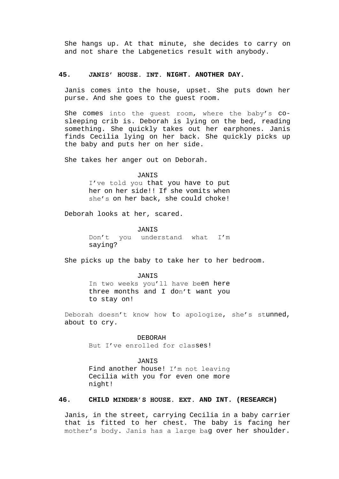She hangs up. At that minute, she decides to carry on and not share the Labgenetics result with anybody.

## **45. JANIS' HOUSE. INT. NIGHT. ANOTHER DAY.**

Janis comes into the house, upset. She puts down her purse. And she goes to the guest room.

She comes into the guest room, where the baby's cosleeping crib is. Deborah is lying on the bed, reading something. She quickly takes out her earphones. Janis finds Cecilia lying on her back. She quickly picks up the baby and puts her on her side.

She takes her anger out on Deborah.

#### JANIS

I've told you that you have to put her on her side!! If she vomits when she's on her back, she could choke!

Deborah looks at her, scared.

JANIS Don't you understand what I'm saying?

She picks up the baby to take her to her bedroom.

JANIS In two weeks you'll have been here three months and I don't want you to stay on!

Deborah doesn't know how to apologize, she's stunned, about to cry.

> DEBORAH But I've enrolled for classes!

## JANIS

Find another house! I'm not leaving Cecilia with you for even one more night!

# **46. CHILD MINDER'S HOUSE. EXT. AND INT. (RESEARCH)**

Janis, in the street, carrying Cecilia in a baby carrier that is fitted to her chest. The baby is facing her mother's body. Janis has a large bag over her shoulder.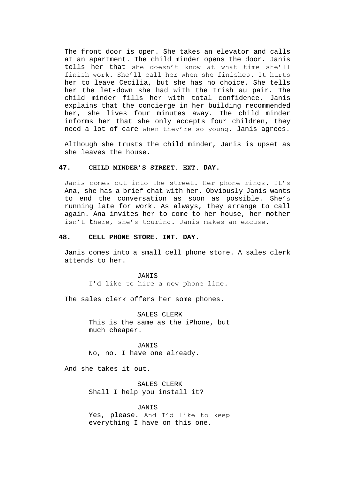The front door is open. She takes an elevator and calls at an apartment. The child minder opens the door. Janis tells her that she doesn't know at what time she'll finish work. She'll call her when she finishes. It hurts her to leave Cecilia, but she has no choice. She tells her the let-down she had with the Irish au pair. The child minder fills her with total confidence. Janis explains that the concierge in her building recommended her, she lives four minutes away. The child minder informs her that she only accepts four children, they need a lot of care when they're so young. Janis agrees.

Although she trusts the child minder, Janis is upset as she leaves the house.

## **47. CHILD MINDER'S STREET. EXT. DAY.**

Janis comes out into the street. Her phone rings. It's Ana, she has a brief chat with her. Obviously Janis wants to end the conversation as soon as possible. She's running late for work. As always, they arrange to call again. Ana invites her to come to her house, her mother isn't there, she's touring. Janis makes an excuse.

### **48. CELL PHONE STORE. INT. DAY.**

Janis comes into a small cell phone store. A sales clerk attends to her.

#### JANIS

I'd like to hire a new phone line.

The sales clerk offers her some phones.

SALES CLERK This is the same as the iPhone, but much cheaper.

# JANIS

No, no. I have one already.

And she takes it out.

SALES CLERK Shall I help you install it?

#### JANIS

Yes, please. And I'd like to keep everything I have on this one.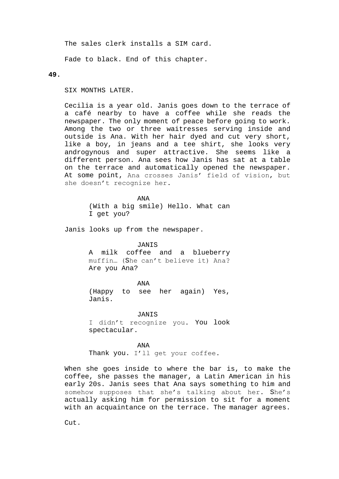The sales clerk installs a SIM card.

Fade to black. End of this chapter.

## **49.**

SIX MONTHS LATER.

Cecilia is a year old. Janis goes down to the terrace of a café nearby to have a coffee while she reads the newspaper. The only moment of peace before going to work. Among the two or three waitresses serving inside and outside is Ana. With her hair dyed and cut very short, like a boy, in jeans and a tee shirt, she looks very androgynous and super attractive. She seems like a different person. Ana sees how Janis has sat at a table on the terrace and automatically opened the newspaper. At some point, Ana crosses Janis' field of vision, but she doesn't recognize her.

> ANA (With a big smile) Hello. What can I get you?

Janis looks up from the newspaper.

## **JANIS**

A milk coffee and a blueberry muffin… (She can't believe it) Ana? Are you Ana?

ANA

(Happy to see her again) Yes, Janis.

JANIS I didn't recognize you. You look spectacular.

ANA Thank you. I'll get your coffee.

When she goes inside to where the bar is, to make the coffee, she passes the manager, a Latin American in his early 20s. Janis sees that Ana says something to him and somehow supposes that she's talking about her. She's actually asking him for permission to sit for a moment with an acquaintance on the terrace. The manager agrees.

Cut.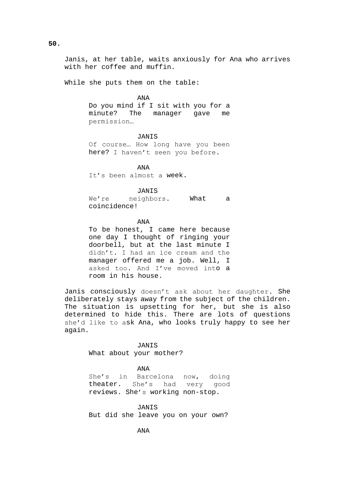Janis, at her table, waits anxiously for Ana who arrives with her coffee and muffin.

While she puts them on the table:

#### ANA

Do you mind if I sit with you for a minute? The manager gave me permission…

#### JANIS

Of course… How long have you been here? I haven't seen you before.

ANA

It's been almost a week.

# JANIS

We're neighbors. What a coincidence!

# ANA

To be honest, I came here because one day I thought of ringing your doorbell, but at the last minute I didn't. I had an ice cream and the manager offered me a job. Well, I asked too. And I've moved into a room in his house.

Janis consciously doesn't ask about her daughter. She deliberately stays away from the subject of the children. The situation is upsetting for her, but she is also determined to hide this. There are lots of questions she'd like to ask Ana, who looks truly happy to see her again.

# JANIS

What about your mother?

## ANA

She's in Barcelona now, doing theater. She's had very good reviews. She's working non-stop.

JANIS But did she leave you on your own?

**50.**

ANA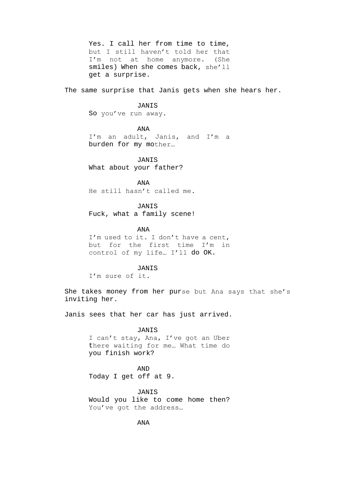Yes. I call her from time to time, but I still haven't told her that I'm not at home anymore. (She smiles) When she comes back, she'll get a surprise.

The same surprise that Janis gets when she hears her.

# JANIS

So you've run away.

## ANA

I'm an adult, Janis, and I'm a burden for my mother…

JANIS What about your father?

ANA He still hasn't called me.

JANIS Fuck, what a family scene!

## ANA

I'm used to it. I don't have a cent, but for the first time I'm in control of my life… I'll do OK.

JANIS

I'm sure of it.

She takes money from her purse but Ana says that she's inviting her.

Janis sees that her car has just arrived.

JANIS I can't stay, Ana, I've got an Uber there waiting for me… What time do you finish work?

AND

Today I get off at 9.

JANIS Would you like to come home then? You've got the address…

ANA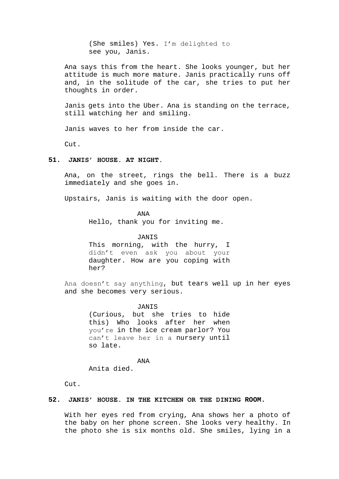(She smiles) Yes. I'm delighted to see you, Janis.

Ana says this from the heart. She looks younger, but her attitude is much more mature. Janis practically runs off and, in the solitude of the car, she tries to put her thoughts in order.

Janis gets into the Uber. Ana is standing on the terrace, still watching her and smiling.

Janis waves to her from inside the car.

Cut.

# **51. JANIS' HOUSE. AT NIGHT.**

Ana, on the street, rings the bell. There is a buzz immediately and she goes in.

Upstairs, Janis is waiting with the door open.

ANA

Hello, thank you for inviting me.

JANIS

This morning, with the hurry, I didn't even ask you about your daughter. How are you coping with her?

Ana doesn't say anything, but tears well up in her eyes and she becomes very serious.

> **JANIS** (Curious, but she tries to hide this) Who looks after her when you're in the ice cream parlor? You can't leave her in a nursery until so late.

> > ANA

Anita died.

Cut.

# **52. JANIS' HOUSE. IN THE KITCHEN OR THE DINING ROOM.**

With her eyes red from crying, Ana shows her a photo of the baby on her phone screen. She looks very healthy. In the photo she is six months old. She smiles, lying in a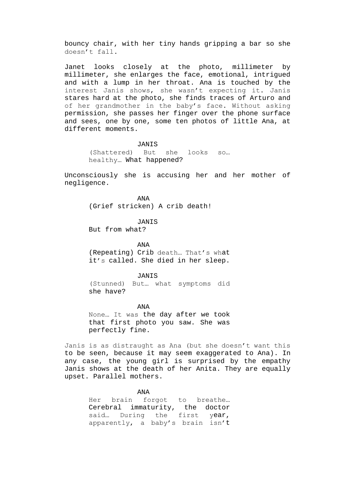bouncy chair, with her tiny hands gripping a bar so she doesn't fall.

Janet looks closely at the photo, millimeter by millimeter, she enlarges the face, emotional, intrigued and with a lump in her throat. Ana is touched by the interest Janis shows, she wasn't expecting it. Janis stares hard at the photo, she finds traces of Arturo and of her grandmother in the baby's face. Without asking permission, she passes her finger over the phone surface and sees, one by one, some ten photos of little Ana, at different moments.

#### JANIS

(Shattered) But she looks so… healthy… What happened?

Unconsciously she is accusing her and her mother of negligence.

> ANA (Grief stricken) A crib death!

> > JANIS

But from what?

ANA

(Repeating) Crib death… That's what it's called. She died in her sleep.

# JANIS

(Stunned) But… what symptoms did she have?

#### ANA

None… It was the day after we took that first photo you saw. She was perfectly fine.

Janis is as distraught as Ana (but she doesn't want this to be seen, because it may seem exaggerated to Ana). In any case, the young girl is surprised by the empathy Janis shows at the death of her Anita. They are equally upset. Parallel mothers.

> ANA Her brain forgot to breathe… Cerebral immaturity, the doctor said... During the first year, apparently, a baby's brain isn't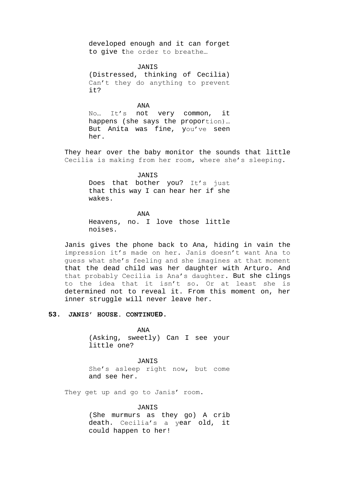developed enough and it can forget to give the order to breathe…

JANIS

(Distressed, thinking of Cecilia) Can't they do anything to prevent it?

ANA

No… It's not very common, it happens (she says the proportion)… But Anita was fine, you've seen her.

They hear over the baby monitor the sounds that little Cecilia is making from her room, where she's sleeping.

> JANIS Does that bother you? It's just that this way I can hear her if she wakes.

ANA Heavens, no. I love those little noises.

Janis gives the phone back to Ana, hiding in vain the impression it's made on her. Janis doesn't want Ana to guess what she's feeling and she imagines at that moment that the dead child was her daughter with Arturo. And that probably Cecilia is Ana's daughter. But she clings to the idea that it isn't so. Or at least she is determined not to reveal it. From this moment on, her inner struggle will never leave her.

# **53. JANIS' HOUSE. CONTINUED.**

ANA (Asking, sweetly) Can I see your little one?

JANIS She's asleep right now, but come and see her.

They get up and go to Janis' room.

JANIS (She murmurs as they go) A crib death. Cecilia's a year old, it could happen to her!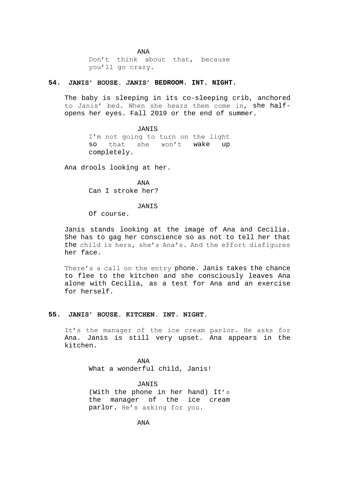ANA Don't think about that, because you'll go crazy.

# **54. JANIS' HOUSE. JANIS' BEDROOM. INT. NIGHT.**

The baby is sleeping in its co-sleeping crib, anchored to Janis' bed. When she hears them come in, she halfopens her eyes. Fall 2019 or the end of summer.

JANIS

I'm not going to turn on the light so that she won't wake up completely.

Ana drools looking at her.

ANA Can I stroke her?

## JANIS

Of course.

Janis stands looking at the image of Ana and Cecilia. She has to gag her conscience so as not to tell her that the child is hers, she's Ana's. And the effort disfigures her face.

There's a call on the entry phone. Janis takes the chance to flee to the kitchen and she consciously leaves Ana alone with Cecilia, as a test for Ana and an exercise for herself.

# **55. JANIS' HOUSE. KITCHEN. INT. NIGHT.**

It's the manager of the ice cream parlor. He asks for Ana. Janis is still very upset. Ana appears in the kitchen.

> ANA What a wonderful child, Janis!

JANIS (With the phone in her hand) It's the manager of the ice cream parlor. He's asking for you.

ANA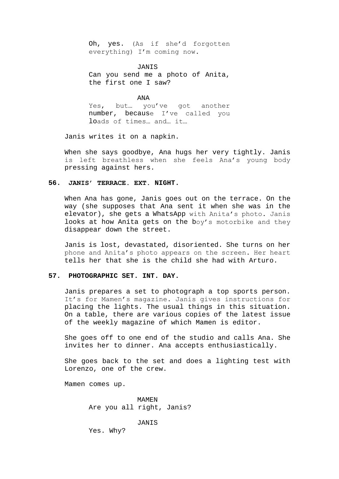Oh, yes. (As if she'd forgotten everything) I'm coming now.

JANIS Can you send me a photo of Anita, the first one I saw?

ANA Yes, but… you've got another number, because I've called you loads of times… and… it…

Janis writes it on a napkin.

When she says goodbye, Ana hugs her very tightly. Janis is left breathless when she feels Ana's young body pressing against hers.

# **56. JANIS' TERRACE. EXT. NIGHT.**

When Ana has gone, Janis goes out on the terrace. On the way (she supposes that Ana sent it when she was in the elevator), she gets a WhatsApp with Anita's photo. Janis looks at how Anita gets on the boy's motorbike and they disappear down the street.

Janis is lost, devastated, disoriented. She turns on her phone and Anita's photo appears on the screen. Her heart tells her that she is the child she had with Arturo.

## **57. PHOTOGRAPHIC SET. INT. DAY.**

Janis prepares a set to photograph a top sports person. It's for Mamen's magazine. Janis gives instructions for placing the lights. The usual things in this situation. On a table, there are various copies of the latest issue of the weekly magazine of which Mamen is editor.

She goes off to one end of the studio and calls Ana. She invites her to dinner. Ana accepts enthusiastically.

She goes back to the set and does a lighting test with Lorenzo, one of the crew.

Mamen comes up.

MAMEN Are you all right, Janis?

**JANIS** 

Yes. Why?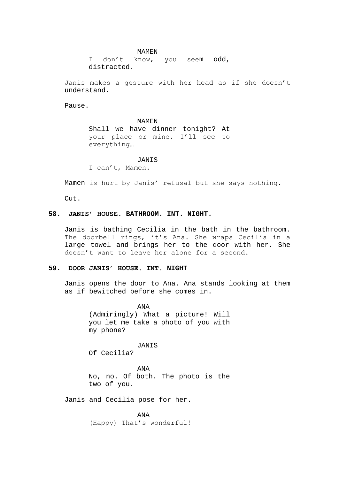#### MAMEN

I don't know, you seem odd, distracted.

Janis makes a gesture with her head as if she doesn't understand.

Pause.

#### MAMEN

Shall we have dinner tonight? At your place or mine. I'll see to everything…

## JANIS

I can't, Mamen.

Mamen is hurt by Janis' refusal but she says nothing.

Cut.

# **58. JANIS' HOUSE. BATHROOM. INT. NIGHT.**

Janis is bathing Cecilia in the bath in the bathroom. The doorbell rings, it's Ana. She wraps Cecilia in a large towel and brings her to the door with her. She doesn't want to leave her alone for a second.

# **59. DOOR JANIS' HOUSE. INT. NIGHT**

Janis opens the door to Ana. Ana stands looking at them as if bewitched before she comes in.

> ANA (Admiringly) What a picture! Will you let me take a photo of you with my phone?

> > JANIS

Of Cecilia?

ANA

No, no. Of both. The photo is the two of you.

Janis and Cecilia pose for her.

ANA (Happy) That's wonderful!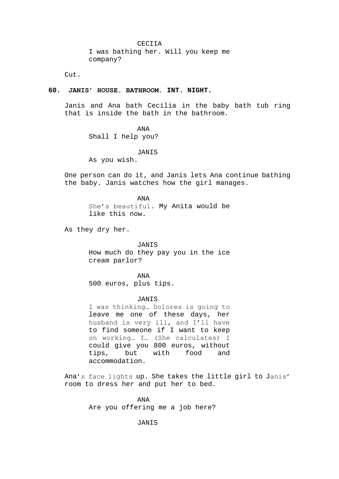CECIIA I was bathing her. Will you keep me company?

Cut.

# **60. JANIS' HOUSE. BATHROOM. INT. NIGHT.**

Janis and Ana bath Cecilia in the baby bath tub ring that is inside the bath in the bathroom.

> ANA Shall I help you?

> > JANIS

As you wish.

One person can do it, and Janis lets Ana continue bathing the baby. Janis watches how the girl manages.

> ANA She's beautiful. My Anita would be like this now.

As they dry her.

JANIS How much do they pay you in the ice cream parlor?

ANA 500 euros, plus tips.

## JANIS

I was thinking… Dolores is going to leave me one of these days, her husband is very ill, and I'll have to find someone if I want to keep on working… I… (She calculates) I could give you 800 euros, without tips, but with food and accommodation.

Ana's face lights up. She takes the little girl to Janis' room to dress her and put her to bed.

> ANA Are you offering me a job here?

> > JANIS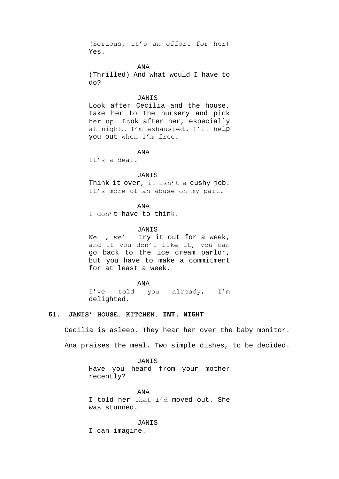(Serious, it's an effort for her) Yes.

ANA

(Thrilled) And what would I have to do?

# JANIS

Look after Cecilia and the house, take her to the nursery and pick her up… Look after her, especially at night… I'm exhausted… I'll help you out when I'm free.

ANA

It's a deal.

#### JANIS

Think it over, it isn't a cushy job. It's more of an abuse on my part.

ANA

I don't have to think.

# JANIS

Well, we'll try it out for a week, and if you don't like it, you can go back to the ice cream parlor, but you have to make a commitment for at least a week.

#### ANA

I've told you already, I'm delighted.

# **61. JANIS' HOUSE. KITCHEN. INT. NIGHT**

Cecilia is asleep. They hear her over the baby monitor.

Ana praises the meal. Two simple dishes, to be decided.

JANIS Have you heard from your mother recently?

ANA I told her that I'd moved out. She was stunned.

#### **JANIS**

I can imagine.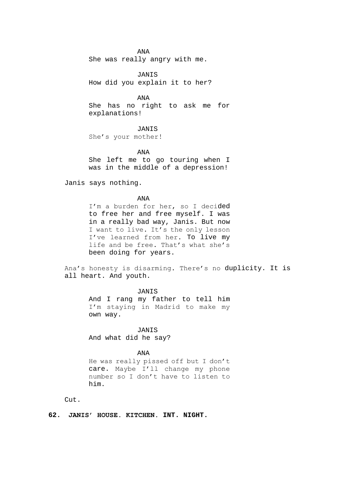ANA

She was really angry with me.

JANIS How did you explain it to her?

ANA She has no right to ask me for explanations!

JANIS She's your mother!

ANA She left me to go touring when I was in the middle of a depression!

Janis says nothing.

ANA

I'm a burden for her, so I decided to free her and free myself. I was in a really bad way, Janis. But now I want to live. It's the only lesson I've learned from her. To live my life and be free. That's what she's been doing for years.

Ana's honesty is disarming. There's no duplicity. It is all heart. And youth.

> JANIS And I rang my father to tell him I'm staying in Madrid to make my own way.

JANIS And what did he say?

# ANA

He was really pissed off but I don't care. Maybe I'll change my phone number so I don't have to listen to him.

Cut.

# **62. JANIS' HOUSE. KITCHEN. INT. NIGHT.**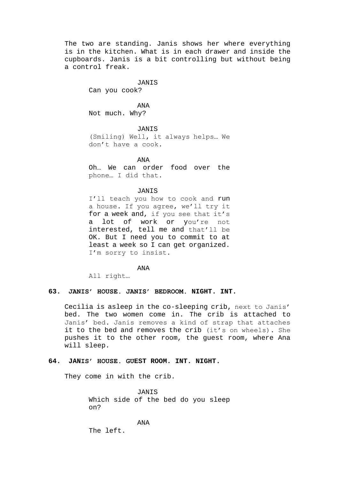The two are standing. Janis shows her where everything is in the kitchen. What is in each drawer and inside the cupboards. Janis is a bit controlling but without being a control freak.

#### JANIS

Can you cook?

ANA Not much. Why?

**JANIS** 

(Smiling) Well, it always helps… We don't have a cook.

ANA

Oh… We can order food over the phone… I did that.

## JANIS

I'll teach you how to cook and run a house. If you agree, we'll try it for a week and, if you see that it's a lot of work or you're not interested, tell me and that'll be OK. But I need you to commit to at least a week so I can get organized. I'm sorry to insist.

ANA

All right…

# **63. JANIS' HOUSE. JANIS' BEDROOM. NIGHT. INT.**

Cecilia is asleep in the co-sleeping crib, next to Janis' bed. The two women come in. The crib is attached to Janis' bed. Janis removes a kind of strap that attaches it to the bed and removes the crib (it's on wheels). She pushes it to the other room, the guest room, where Ana will sleep.

# **64. JANIS' HOUSE. GUEST ROOM. INT. NIGHT.**

They come in with the crib.

JANIS Which side of the bed do you sleep on?

ANA

The left.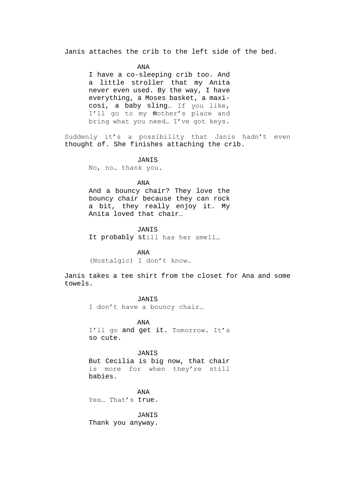Janis attaches the crib to the left side of the bed.

ANA

I have a co-sleeping crib too. And a little stroller that my Anita never even used. By the way, I have everything, a Moses basket, a maxicosi, a baby sling… If you like, I'll go to my mother's place and bring what you need… I've got keys.

Suddenly it's a possibility that Janis hadn't even thought of. She finishes attaching the crib.

**JANIS** 

No, no… thank you.

ANA

And a bouncy chair? They love the bouncy chair because they can rock a bit, they really enjoy it. My Anita loved that chair…

JANIS

It probably still has her smell…

ANA (Nostalgic) I don't know…

Janis takes a tee shirt from the closet for Ana and some towels.

> **JANIS** I don't have a bouncy chair…

ANA I'll go and get it. Tomorrow. It's so cute.

JANIS But Cecilia is big now, that chair is more for when they're still babies.

ANA Yes… That's true.

JANIS Thank you anyway.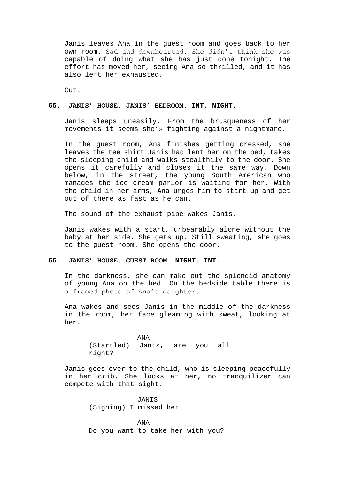Janis leaves Ana in the guest room and goes back to her own room. Sad and downhearted. She didn't think she was capable of doing what she has just done tonight. The effort has moved her, seeing Ana so thrilled, and it has also left her exhausted.

Cut.

# **65. JANIS' HOUSE. JANIS' BEDROOM. INT. NIGHT.**

Janis sleeps uneasily. From the brusqueness of her movements it seems she's fighting against a nightmare.

In the guest room, Ana finishes getting dressed, she leaves the tee shirt Janis had lent her on the bed, takes the sleeping child and walks stealthily to the door. She opens it carefully and closes it the same way. Down below, in the street, the young South American who manages the ice cream parlor is waiting for her. With the child in her arms, Ana urges him to start up and get out of there as fast as he can.

The sound of the exhaust pipe wakes Janis.

Janis wakes with a start, unbearably alone without the baby at her side. She gets up. Still sweating, she goes to the guest room. She opens the door.

# **66. JANIS' HOUSE. GUEST ROOM. NIGHT. INT.**

In the darkness, she can make out the splendid anatomy of young Ana on the bed. On the bedside table there is a framed photo of Ana's daughter.

Ana wakes and sees Janis in the middle of the darkness in the room, her face gleaming with sweat, looking at her.

> ANA (Startled) Janis, are you all right?

Janis goes over to the child, who is sleeping peacefully in her crib. She looks at her, no tranquilizer can compete with that sight.

> JANIS (Sighing) I missed her.

ANA Do you want to take her with you?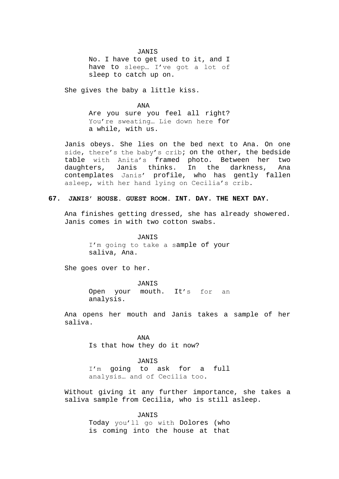#### JANIS

No. I have to get used to it, and I have to sleep… I've got a lot of sleep to catch up on.

She gives the baby a little kiss.

ANA Are you sure you feel all right? You're sweating… Lie down here for a while, with us.

Janis obeys. She lies on the bed next to Ana. On one side, there's the baby's crib; on the other, the bedside table with Anita's framed photo. Between her two daughters, Janis thinks. In the darkness, Ana contemplates Janis' profile, who has gently fallen asleep, with her hand lying on Cecilia's crib.

# **67. JANIS' HOUSE. GUEST ROOM. INT. DAY. THE NEXT DAY.**

Ana finishes getting dressed, she has already showered. Janis comes in with two cotton swabs.

> JANIS I'm going to take a sample of your saliva, Ana.

She goes over to her.

JANIS Open your mouth. It's for an analysis.

Ana opens her mouth and Janis takes a sample of her saliva.

> ANA Is that how they do it now?

# JANIS

I'm going to ask for a full analysis… and of Cecilia too.

Without giving it any further importance, she takes a saliva sample from Cecilia, who is still asleep.

**JANIS** 

Today you'll go with Dolores (who is coming into the house at that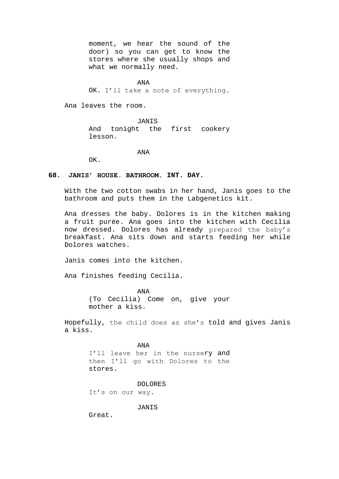moment, we hear the sound of the door) so you can get to know the stores where she usually shops and what we normally need.

ANA OK. I'll take a note of everything.

Ana leaves the room.

JANIS And tonight the first cookery lesson.

ANA

OK.

## **68. JANIS' HOUSE. BATHROOM. INT. DAY.**

With the two cotton swabs in her hand, Janis goes to the bathroom and puts them in the Labgenetics kit.

Ana dresses the baby. Dolores is in the kitchen making a fruit purée. Ana goes into the kitchen with Cecilia now dressed. Dolores has already prepared the baby's breakfast. Ana sits down and starts feeding her while Dolores watches.

Janis comes into the kitchen.

Ana finishes feeding Cecilia.

ANA (To Cecilia) Come on, give your mother a kiss.

Hopefully, the child does as she's told and gives Janis a kiss.

> ANA I'll leave her in the nursery and then I'll go with Dolores to the stores.

DOLORES It's on our way.

JANIS

Great.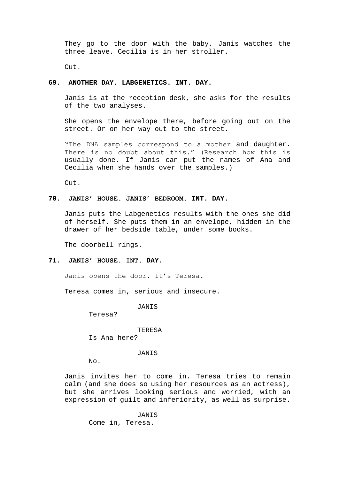They go to the door with the baby. Janis watches the three leave. Cecilia is in her stroller.

Cut.

## **69. ANOTHER DAY. LABGENETICS. INT. DAY.**

Janis is at the reception desk, she asks for the results of the two analyses.

She opens the envelope there, before going out on the street. Or on her way out to the street.

"The DNA samples correspond to a mother and daughter. There is no doubt about this." (Research how this is usually done. If Janis can put the names of Ana and Cecilia when she hands over the samples.)

Cut.

# **70. JANIS' HOUSE. JANIS' BEDROOM. INT. DAY.**

Janis puts the Labgenetics results with the ones she did of herself. She puts them in an envelope, hidden in the drawer of her bedside table, under some books.

The doorbell rings.

# **71. JANIS' HOUSE. INT. DAY.**

Janis opens the door. It's Teresa.

Teresa comes in, serious and insecure.

JANIS

Teresa?

TERESA

Is Ana here?

## **JANIS**

No.

Janis invites her to come in. Teresa tries to remain calm (and she does so using her resources as an actress), but she arrives looking serious and worried, with an expression of guilt and inferiority, as well as surprise.

> JANIS Come in, Teresa.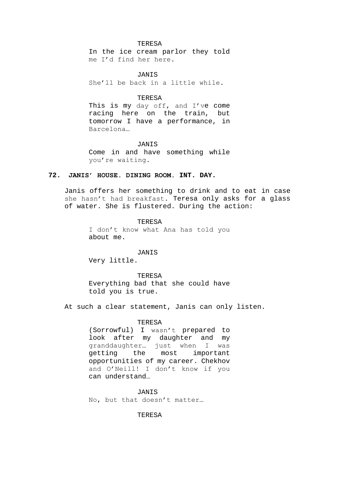## TERESA

In the ice cream parlor they told me I'd find her here.

## JANIS

She'll be back in a little while.

# **TERESA**

This is my day off, and I've come racing here on the train, but tomorrow I have a performance, in Barcelona…

#### JANIS

Come in and have something while you're waiting.

# **72. JANIS' HOUSE. DINING ROOM. INT. DAY.**

Janis offers her something to drink and to eat in case she hasn't had breakfast. Teresa only asks for a glass of water. She is flustered. During the action:

#### TERESA

I don't know what Ana has told you about me.

## JANIS

Very little.

## TERESA

Everything bad that she could have told you is true.

At such a clear statement, Janis can only listen.

## TERESA

(Sorrowful) I wasn't prepared to look after my daughter and my granddaughter… just when I was getting the most important opportunities of my career. Chekhov and O'Neill! I don't know if you can understand…

# JANIS

No, but that doesn't matter…

**TERESA**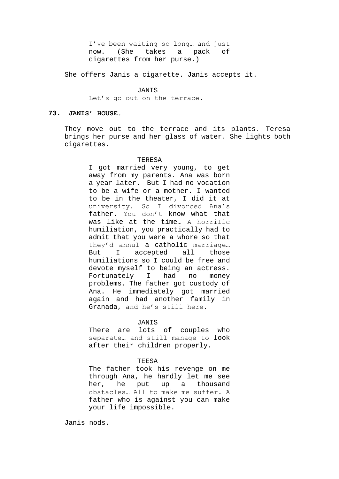I've been waiting so long… and just now. (She takes a pack of cigarettes from her purse.)

She offers Janis a cigarette. Janis accepts it.

## JANIS

Let's go out on the terrace.

# **73. JANIS' HOUSE.**

They move out to the terrace and its plants. Teresa brings her purse and her glass of water. She lights both cigarettes.

#### TERESA

I got married very young, to get away from my parents. Ana was born a year later. But I had no vocation to be a wife or a mother. I wanted to be in the theater, I did it at university. So I divorced Ana's father. You don't know what that was like at the time… A horrific humiliation, you practically had to admit that you were a whore so that they'd annul a catholic marriage… But I accepted all those humiliations so I could be free and devote myself to being an actress. Fortunately I had no money problems. The father got custody of Ana. He immediately got married again and had another family in Granada, and he's still here.

## JANIS

There are lots of couples who separate… and still manage to look after their children properly.

#### TEESA

The father took his revenge on me through Ana, he hardly let me see her, he put up a thousand obstacles… All to make me suffer. A father who is against you can make your life impossible.

Janis nods.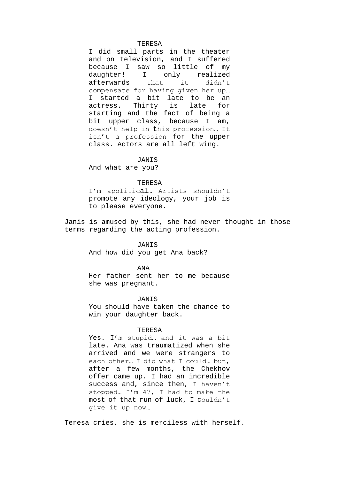#### TERESA

I did small parts in the theater and on television, and I suffered because I saw so little of my daughter! I only realized afterwards that it didn't compensate for having given her up… I started a bit late to be an actress. Thirty is late for starting and the fact of being a bit upper class, because I am, doesn't help in this profession… It isn't a profession for the upper class. Actors are all left wing.

#### **JANIS**

And what are you?

## TERESA

I'm apolitical… Artists shouldn't promote any ideology, your job is to please everyone.

Janis is amused by this, she had never thought in those terms regarding the acting profession.

# JANIS

And how did you get Ana back?

#### ANA

Her father sent her to me because she was pregnant.

#### JANIS

You should have taken the chance to win your daughter back.

#### TERESA

Yes. I'm stupid… and it was a bit late. Ana was traumatized when she arrived and we were strangers to each other… I did what I could… but, after a few months, the Chekhov offer came up. I had an incredible success and, since then, I haven't stopped… I'm 47, I had to make the most of that run of luck, I couldn't give it up now…

Teresa cries, she is merciless with herself.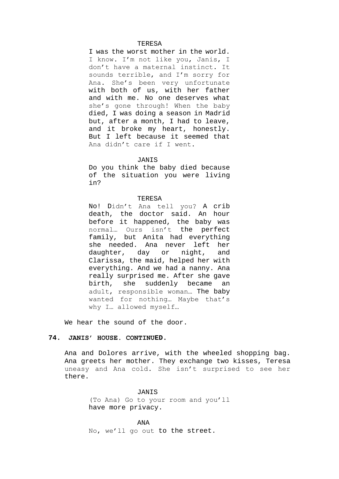#### TERESA

I was the worst mother in the world. I know. I'm not like you, Janis, I don't have a maternal instinct. It sounds terrible, and I'm sorry for Ana. She's been very unfortunate with both of us, with her father and with me. No one deserves what she's gone through! When the baby died, I was doing a season in Madrid but, after a month, I had to leave, and it broke my heart, honestly. But I left because it seemed that Ana didn't care if I went.

#### **JANIS**

Do you think the baby died because of the situation you were living in?

#### **TERESA**

No! Didn't Ana tell you? A crib death, the doctor said. An hour before it happened, the baby was normal… Ours isn't the perfect family, but Anita had everything she needed. Ana never left her daughter, day or night, and Clarissa, the maid, helped her with everything. And we had a nanny. Ana really surprised me. After she gave birth, she suddenly became an adult, responsible woman… The baby wanted for nothing… Maybe that's why I… allowed myself…

We hear the sound of the door.

#### **74. JANIS' HOUSE. CONTINUED.**

Ana and Dolores arrive, with the wheeled shopping bag. Ana greets her mother. They exchange two kisses, Teresa uneasy and Ana cold. She isn't surprised to see her there.

> JANIS (To Ana) Go to your room and you'll have more privacy.

ANA No, we'll go out to the street.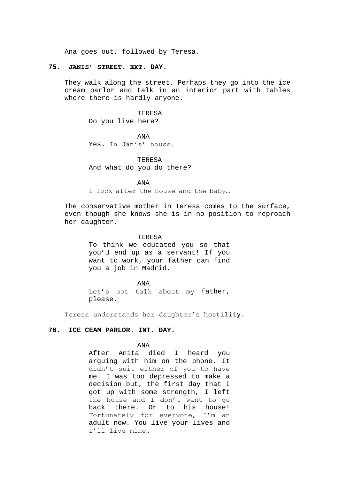Ana goes out, followed by Teresa.

# **75. JANIS' STREET. EXT. DAY.**

They walk along the street. Perhaps they go into the ice cream parlor and talk in an interior part with tables where there is hardly anyone.

#### TERESA

Do you live here?

#### ANA

Yes. In Janis' house.

TERESA And what do you do there?

## ANA

I look after the house and the baby…

The conservative mother in Teresa comes to the surface, even though she knows she is in no position to reproach her daughter.

#### TERESA

To think we educated you so that you'd end up as a servant! If you want to work, your father can find you a job in Madrid.

## ANA

Let's not talk about my father, please.

Teresa understands her daughter's hostility.

# **76. ICE CEAM PARLOR. INT. DAY.**

# ANA

After Anita died I heard you arguing with him on the phone. It didn't suit either of you to have me. I was too depressed to make a decision but, the first day that I got up with some strength, I left the house and I don't want to go back there. Or to his house! Fortunately for everyone, I'm an adult now. You live your lives and I'll live mine.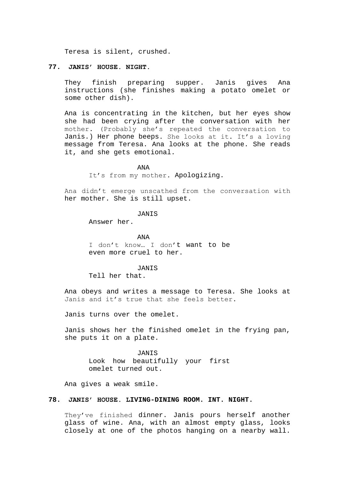Teresa is silent, crushed.

# **77. JANIS' HOUSE. NIGHT.**

They finish preparing supper. Janis gives Ana instructions (she finishes making a potato omelet or some other dish).

Ana is concentrating in the kitchen, but her eyes show she had been crying after the conversation with her mother. (Probably she's repeated the conversation to Janis.) Her phone beeps. She looks at it. It's a loving message from Teresa. Ana looks at the phone. She reads it, and she gets emotional.

#### ANA

It's from my mother. Apologizing.

Ana didn't emerge unscathed from the conversation with her mother. She is still upset.

# JANIS

Answer her.

ANA I don't know… I don't want to be even more cruel to her.

#### JANIS

Tell her that.

Ana obeys and writes a message to Teresa. She looks at Janis and it's true that she feels better.

Janis turns over the omelet.

Janis shows her the finished omelet in the frying pan, she puts it on a plate.

> JANIS Look how beautifully your first omelet turned out.

Ana gives a weak smile.

## **78. JANIS' HOUSE. LIVING-DINING ROOM. INT. NIGHT.**

They've finished dinner. Janis pours herself another glass of wine. Ana, with an almost empty glass, looks closely at one of the photos hanging on a nearby wall.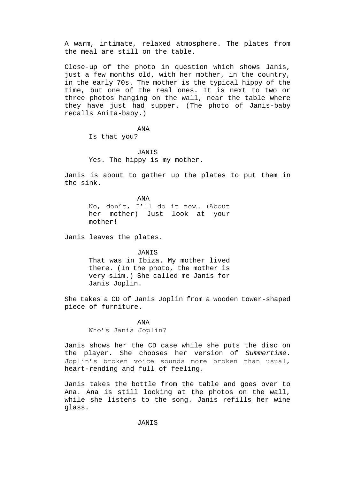A warm, intimate, relaxed atmosphere. The plates from the meal are still on the table.

Close-up of the photo in question which shows Janis, just a few months old, with her mother, in the country, in the early 70s. The mother is the typical hippy of the time, but one of the real ones. It is next to two or three photos hanging on the wall, near the table where they have just had supper. (The photo of Janis-baby recalls Anita-baby.)

ANA

Is that you?

JANIS Yes. The hippy is my mother.

Janis is about to gather up the plates to put them in the sink.

> ANA No, don't, I'll do it now… (About her mother) Just look at your mother!

Janis leaves the plates.

JANIS That was in Ibiza. My mother lived there. (In the photo, the mother is very slim.) She called me Janis for Janis Joplin.

She takes a CD of Janis Joplin from a wooden tower-shaped piece of furniture.

> ANA Who's Janis Joplin?

Janis shows her the CD case while she puts the disc on the player. She chooses her version of *Summertime*. Joplin's broken voice sounds more broken than usual, heart-rending and full of feeling.

Janis takes the bottle from the table and goes over to Ana. Ana is still looking at the photos on the wall, while she listens to the song. Janis refills her wine glass.

**JANIS**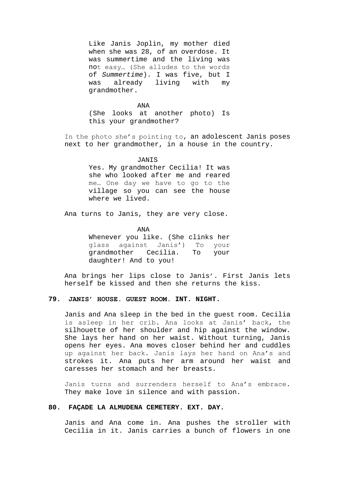Like Janis Joplin, my mother died when she was 28, of an overdose. It was summertime and the living was not easy… (She alludes to the words of *Summertime*). I was five, but I was already living with my grandmother.

#### ANA

(She looks at another photo) Is this your grandmother?

In the photo she's pointing to, an adolescent Janis poses next to her grandmother, in a house in the country.

## **JANIS**

Yes. My grandmother Cecilia! It was she who looked after me and reared me… One day we have to go to the village so you can see the house where we lived.

Ana turns to Janis, they are very close.

ANA

Whenever you like. (She clinks her glass against Janis') To your grandmother Cecilia. To your daughter! And to you!

Ana brings her lips close to Janis'. First Janis lets herself be kissed and then she returns the kiss.

# **79. JANIS' HOUSE. GUEST ROOM. INT. NIGHT.**

Janis and Ana sleep in the bed in the guest room. Cecilia is asleep in her crib. Ana looks at Janis' back, the silhouette of her shoulder and hip against the window. She lays her hand on her waist. Without turning, Janis opens her eyes. Ana moves closer behind her and cuddles up against her back. Janis lays her hand on Ana's and strokes it. Ana puts her arm around her waist and caresses her stomach and her breasts.

Janis turns and surrenders herself to Ana's embrace. They make love in silence and with passion.

# **80. FAÇADE LA ALMUDENA CEMETERY. EXT. DAY.**

Janis and Ana come in. Ana pushes the stroller with Cecilia in it. Janis carries a bunch of flowers in one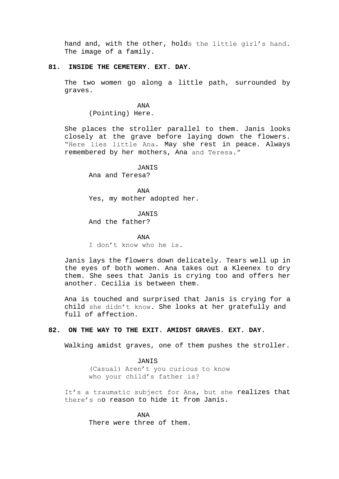hand and, with the other, holds the little girl's hand. The image of a family.

# **81. INSIDE THE CEMETERY. EXT. DAY.**

The two women go along a little path, surrounded by graves.

> ANA (Pointing) Here.

She places the stroller parallel to them. Janis looks closely at the grave before laying down the flowers. "Here lies little Ana. May she rest in peace. Always remembered by her mothers, Ana and Teresa."

> JANIS Ana and Teresa?

ANA Yes, my mother adopted her.

JANIS And the father?

ANA I don't know who he is.

Janis lays the flowers down delicately. Tears well up in the eyes of both women. Ana takes out a Kleenex to dry them. She sees that Janis is crying too and offers her another. Cecilia is between them.

Ana is touched and surprised that Janis is crying for a child she didn't know. She looks at her gratefully and full of affection.

# **82. ON THE WAY TO THE EXIT. AMIDST GRAVES. EXT. DAY.**

Walking amidst graves, one of them pushes the stroller.

JANIS (Casual) Aren't you curious to know who your child's father is?

It's a traumatic subject for Ana, but she realizes that there's no reason to hide it from Janis.

> ANA There were three of them.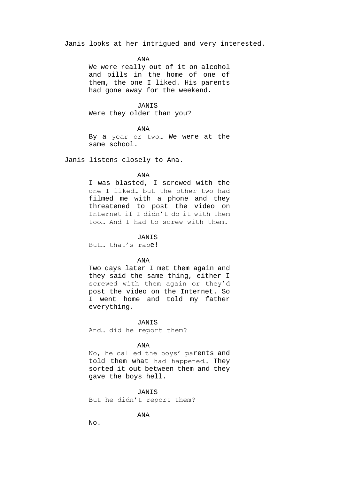Janis looks at her intrigued and very interested.

# ANA

We were really out of it on alcohol and pills in the home of one of them, the one I liked. His parents had gone away for the weekend.

# JANIS

Were they older than you?

#### ANA

By a year or two… We were at the same school.

Janis listens closely to Ana.

#### ANA

I was blasted, I screwed with the one I liked… but the other two had filmed me with a phone and they threatened to post the video on Internet if I didn't do it with them too… And I had to screw with them.

# JANIS

But… that's rape!

# ANA

Two days later I met them again and they said the same thing, either I screwed with them again or they'd post the video on the Internet. So I went home and told my father everything.

#### JANIS

And… did he report them?

## ANA

No, he called the boys' parents and told them what had happened… They sorted it out between them and they gave the boys hell.

## JANIS

But he didn't report them?

# ANA

No.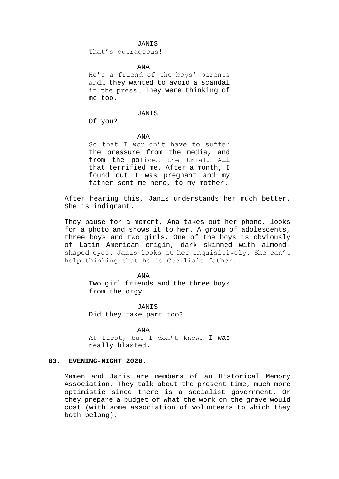#### JANIS

That's outrageous!

ANA

He's a friend of the boys' parents and… they wanted to avoid a scandal in the press… They were thinking of me too.

#### JANIS

Of you?

## ANA

So that I wouldn't have to suffer the pressure from the media, and from the police… the trial… All that terrified me. After a month, I found out I was pregnant and my father sent me here, to my mother.

After hearing this, Janis understands her much better. She is indignant.

They pause for a moment, Ana takes out her phone, looks for a photo and shows it to her. A group of adolescents, three boys and two girls. One of the boys is obviously of Latin American origin, dark skinned with almondshaped eyes. Janis looks at her inquisitively. She can't help thinking that he is Cecilia's father.

# ANA

Two girl friends and the three boys from the orgy.

JANIS Did they take part too?

ANA At first, but I don't know… I was really blasted.

## **83. EVENING-NIGHT 2020.**

Mamen and Janis are members of an Historical Memory Association. They talk about the present time, much more optimistic since there is a socialist government. Or they prepare a budget of what the work on the grave would cost (with some association of volunteers to which they both belong).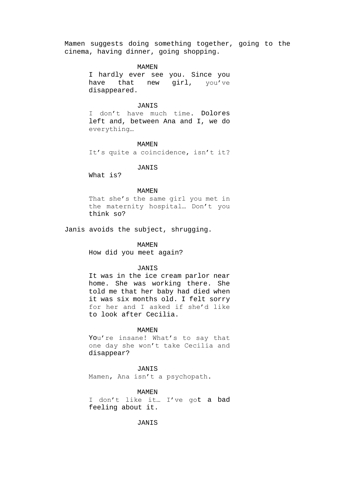Mamen suggests doing something together, going to the cinema, having dinner, going shopping.

#### MAMEN

I hardly ever see you. Since you have that new girl, you've disappeared.

### JANIS

I don't have much time. Dolores left and, between Ana and I, we do everything…

MAMEN It's quite a coincidence, isn't it?

#### JANIS

What is?

### MAMEN

That she's the same girl you met in the maternity hospital… Don't you think so?

Janis avoids the subject, shrugging.

### MAMEN

How did you meet again?

### JANIS

It was in the ice cream parlor near home. She was working there. She told me that her baby had died when it was six months old. I felt sorry for her and I asked if she'd like to look after Cecilia.

#### MAMEN

You're insane! What's to say that one day she won't take Cecilia and disappear?

### JANIS

Mamen, Ana isn't a psychopath.

MAMEN

I don't like it… I've got a bad feeling about it.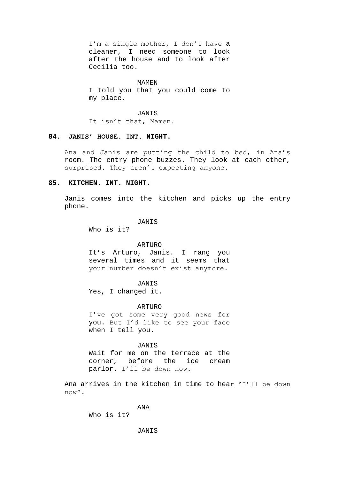I'm a single mother, I don't have a cleaner, I need someone to look after the house and to look after Cecilia too.

#### MAMEN

I told you that you could come to my place.

#### JANIS

It isn't that, Mamen.

## **84. JANIS' HOUSE. INT. NIGHT.**

Ana and Janis are putting the child to bed, in Ana's room. The entry phone buzzes. They look at each other, surprised. They aren't expecting anyone.

# **85. KITCHEN. INT. NIGHT.**

Janis comes into the kitchen and picks up the entry phone.

# JANIS

Who is it?

### ARTURO

It's Arturo, Janis. I rang you several times and it seems that your number doesn't exist anymore.

# JANIS

Yes, I changed it.

#### ARTURO

I've got some very good news for you. But I'd like to see your face when I tell you.

### JANIS

Wait for me on the terrace at the corner, before the ice cream parlor. I'll be down now.

Ana arrives in the kitchen in time to hear "I'll be down now".

# ANA

Who is it?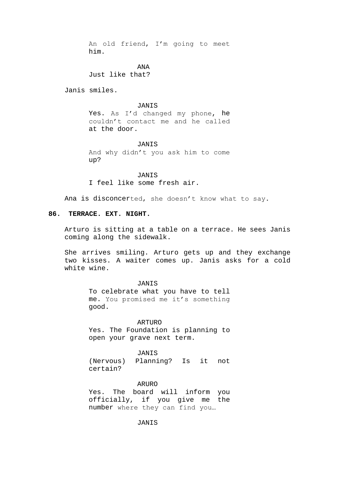An old friend, I'm going to meet him.

ANA

Just like that?

Janis smiles.

# JANIS

Yes. As I'd changed my phone, he couldn't contact me and he called at the door.

#### JANIS

And why didn't you ask him to come up?

JANIS I feel like some fresh air.

Ana is disconcerted, she doesn't know what to say.

# **86. TERRACE. EXT. NIGHT.**

Arturo is sitting at a table on a terrace. He sees Janis coming along the sidewalk.

She arrives smiling. Arturo gets up and they exchange two kisses. A waiter comes up. Janis asks for a cold white wine.

### JANIS

To celebrate what you have to tell me. You promised me it's something good.

### ARTURO

Yes. The Foundation is planning to open your grave next term.

# JANIS

(Nervous) Planning? Is it not certain?

### ARURO

Yes. The board will inform you officially, if you give me the number where they can find you…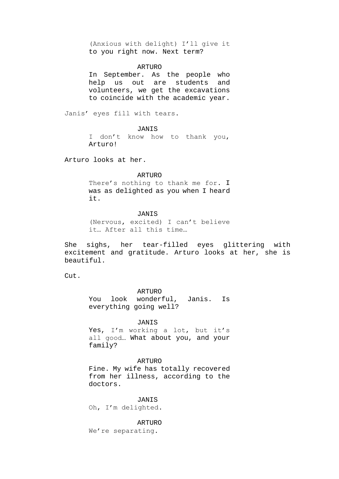(Anxious with delight) I'll give it to you right now. Next term?

### ARTURO

In September. As the people who help us out are students and volunteers, we get the excavations to coincide with the academic year.

Janis' eyes fill with tears.

JANIS

I don't know how to thank you, Arturo!

Arturo looks at her.

#### ARTURO

There's nothing to thank me for. I was as delighted as you when I heard it.

### JANIS

(Nervous, excited) I can't believe it… After all this time…

She sighs, her tear-filled eyes glittering with excitement and gratitude. Arturo looks at her, she is beautiful.

Cut.

ARTURO

You look wonderful, Janis. Is everything going well?

### JANIS

Yes, I'm working a lot, but it's all good… What about you, and your family?

### ARTURO

Fine. My wife has totally recovered from her illness, according to the doctors.

JANIS Oh, I'm delighted.

ARTURO

We're separating.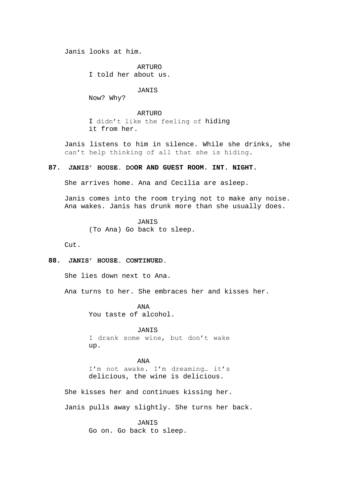Janis looks at him.

ARTURO I told her about us.

JANIS

Now? Why?

ARTURO I didn't like the feeling of hiding it from her.

Janis listens to him in silence. While she drinks, she can't help thinking of all that she is hiding.

# **87. JANIS' HOUSE. DOOR AND GUEST ROOM. INT. NIGHT.**

She arrives home. Ana and Cecilia are asleep.

Janis comes into the room trying not to make any noise. Ana wakes. Janis has drunk more than she usually does.

> JANIS (To Ana) Go back to sleep.

Cut.

# **88. JANIS' HOUSE. CONTINUED.**

She lies down next to Ana.

Ana turns to her. She embraces her and kisses her.

ANA You taste of alcohol.

JANIS I drank some wine, but don't wake up.

### ANA

I'm not awake. I'm dreaming… it's delicious, the wine is delicious.

She kisses her and continues kissing her.

Janis pulls away slightly. She turns her back.

JANIS Go on. Go back to sleep.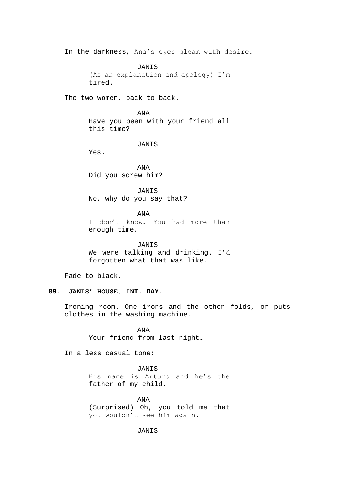In the darkness, Ana's eyes gleam with desire.

JANIS (As an explanation and apology) I'm tired.

The two women, back to back.

ANA Have you been with your friend all this time?

JANIS

Yes.

ANA Did you screw him?

JANIS No, why do you say that?

ANA I don't know… You had more than

**JANIS** We were talking and drinking. I'd forgotten what that was like.

Fade to black.

# **89. JANIS' HOUSE. INT. DAY.**

enough time.

Ironing room. One irons and the other folds, or puts clothes in the washing machine.

> ANA Your friend from last night…

In a less casual tone:

JANIS

His name is Arturo and he's the father of my child.

ANA (Surprised) Oh, you told me that you wouldn't see him again.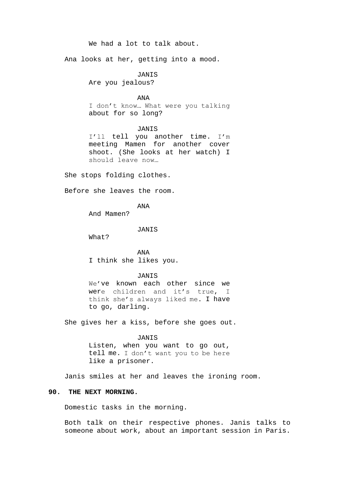# We had a lot to talk about.

Ana looks at her, getting into a mood.

## JANIS

Are you jealous?

### ANA

I don't know… What were you talking about for so long?

### JANIS

I'll tell you another time. I'm meeting Mamen for another cover shoot. (She looks at her watch) I should leave now…

She stops folding clothes.

Before she leaves the room.

# ANA

And Mamen?

## JANIS

What?

# ANA I think she likes you.

### JANIS

We've known each other since we were children and it's true, I think she's always liked me. I have to go, darling.

She gives her a kiss, before she goes out.

#### JANIS

Listen, when you want to go out, tell me. I don't want you to be here like a prisoner.

Janis smiles at her and leaves the ironing room.

# **90. THE NEXT MORNING.**

Domestic tasks in the morning.

Both talk on their respective phones. Janis talks to someone about work, about an important session in Paris.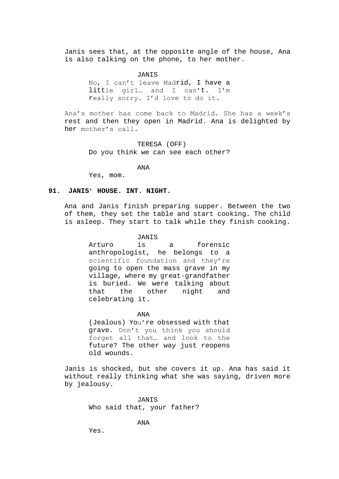Janis sees that, at the opposite angle of the house, Ana is also talking on the phone, to her mother.

JANIS

No, I can't leave Madrid, I have a little girl… and I can't. I'm really sorry. I'd love to do it.

Ana's mother has come back to Madrid. She has a week's rest and then they open in Madrid. Ana is delighted by her mother's call.

> TERESA (OFF) Do you think we can see each other?

> > ANA

Yes, mom.

# **91. JANIS' HOUSE. INT. NIGHT.**

Ana and Janis finish preparing supper. Between the two of them, they set the table and start cooking. The child is asleep. They start to talk while they finish cooking.

> JANIS Arturo is a forensic anthropologist, he belongs to a scientific foundation and they're going to open the mass grave in my village, where my great-grandfather is buried. We were talking about that the other night and celebrating it.

> > ANA

(Jealous) You're obsessed with that grave. Don't you think you should forget all that… and look to the future? The other way just reopens old wounds.

Janis is shocked, but she covers it up. Ana has said it without really thinking what she was saying, driven more by jealousy.

> JANIS Who said that, your father?

> > ANA

Yes.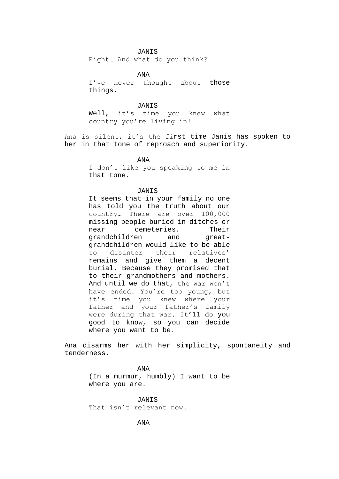#### JANIS

Right… And what do you think?

ANA I've never thought about those things.

JANIS Well, it's time you knew what country you're living in!

Ana is silent, it's the first time Janis has spoken to her in that tone of reproach and superiority.

ANA

I don't like you speaking to me in that tone.

## JANIS

It seems that in your family no one has told you the truth about our country… There are over 100,000 missing people buried in ditches or near cemeteries. Their grandchildren and greatgrandchildren would like to be able to disinter their relatives' remains and give them a decent burial. Because they promised that to their grandmothers and mothers. And until we do that, the war won't have ended. You're too young, but it's time you knew where your father and your father's family were during that war. It'll do you good to know, so you can decide where you want to be.

Ana disarms her with her simplicity, spontaneity and tenderness.

#### ANA

(In a murmur, humbly) I want to be where you are.

JANIS That isn't relevant now.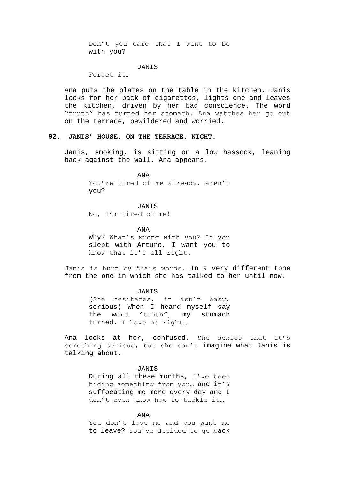Don't you care that I want to be with you?

### JANIS

Forget it...

Ana puts the plates on the table in the kitchen. Janis looks for her pack of cigarettes, lights one and leaves the kitchen, driven by her bad conscience. The word "truth" has turned her stomach. Ana watches her go out on the terrace, bewildered and worried.

## **92. JANIS' HOUSE. ON THE TERRACE. NIGHT.**

Janis, smoking, is sitting on a low hassock, leaning back against the wall. Ana appears.

> ANA You're tired of me already, aren't you?

> > JANIS

No, I'm tired of me!

ANA

Why? What's wrong with you? If you slept with Arturo, I want you to know that it's all right.

Janis is hurt by Ana's words. In a very different tone from the one in which she has talked to her until now.

#### JANIS

(She hesitates, it isn't easy, serious) When I heard myself say the word "truth", my stomach turned. I have no right…

Ana looks at her, confused. She senses that it's something serious, but she can't imagine what Janis is talking about.

#### **JANIS**

During all these months, I've been hiding something from you… and it's suffocating me more every day and I don't even know how to tackle it…

# ANA

You don't love me and you want me to leave? You've decided to go back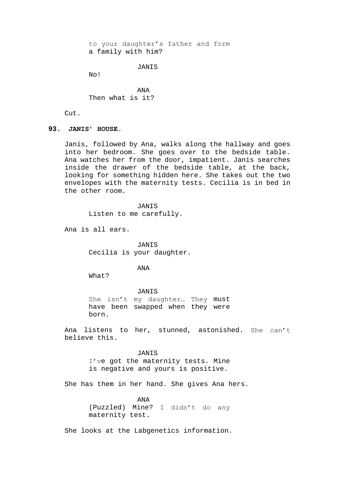to your daughter's father and form a family with him?

JANIS

No!

ANA Then what is it?

Cut.

# **93. JANIS' HOUSE.**

Janis, followed by Ana, walks along the hallway and goes into her bedroom. She goes over to the bedside table. Ana watches her from the door, impatient. Janis searches inside the drawer of the bedside table, at the back, looking for something hidden here. She takes out the two envelopes with the maternity tests. Cecilia is in bed in the other room.

JANIS

Listen to me carefully.

Ana is all ears.

**JANIS** Cecilia is your daughter.

ANA

What?

JANIS She isn't my daughter… They must have been swapped when they were born.

Ana listens to her, stunned, astonished. She can't believe this.

**JANIS** I've got the maternity tests. Mine is negative and yours is positive.

She has them in her hand. She gives Ana hers.

ANA (Puzzled) Mine? I didn't do any maternity test.

She looks at the Labgenetics information.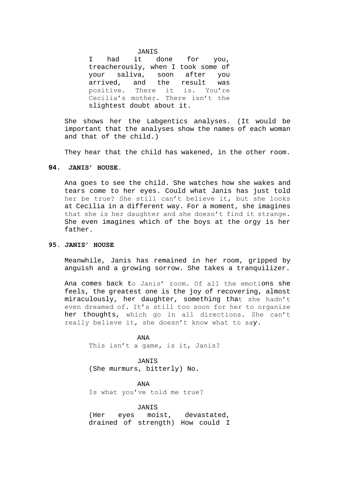### JANIS

I had it done for you, treacherously, when I took some of your saliva, soon after you arrived, and the result was positive. There it is. You're Cecilia's mother. There isn't the slightest doubt about it.

She shows her the Labgentics analyses. (It would be important that the analyses show the names of each woman and that of the child.)

They hear that the child has wakened, in the other room.

### **94. JANIS' HOUSE.**

Ana goes to see the child. She watches how she wakes and tears come to her eyes. Could what Janis has just told her be true? She still can't believe it, but she looks at Cecilia in a different way. For a moment, she imagines that she is her daughter and she doesn't find it strange. She even imagines which of the boys at the orgy is her father.

# **95. JANIS' HOUSE**

Meanwhile, Janis has remained in her room, gripped by anguish and a growing sorrow. She takes a tranquilizer.

Ana comes back to Janis' room. Of all the emotions she feels, the greatest one is the joy of recovering, almost miraculously, her daughter, something that she hadn't even dreamed of. It's still too soon for her to organize her thoughts, which go in all directions. She can't really believe it, she doesn't know what to say.

> ANA This isn't a game, is it, Janis?

JANIS (She murmurs, bitterly) No.

ANA Is what you've told me true?

JANIS (Her eyes moist, devastated, drained of strength) How could I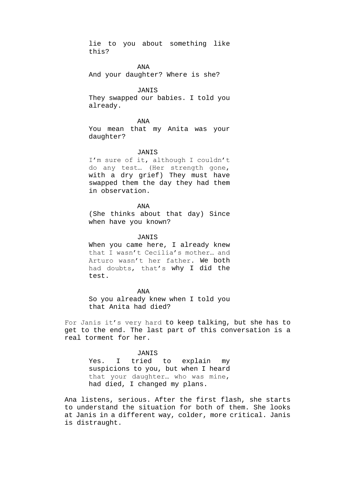lie to you about something like this?

ANA

And your daughter? Where is she?

### JANIS

They swapped our babies. I told you already.

## ANA

You mean that my Anita was your daughter?

### JANIS

I'm sure of it, although I couldn't do any test… (Her strength gone, with a dry grief) They must have swapped them the day they had them in observation.

ANA

(She thinks about that day) Since when have you known?

JANIS

When you came here, I already knew that I wasn't Cecilia's mother… and Arturo wasn't her father. We both had doubts, that's why I did the test.

ANA So you already knew when I told you that Anita had died?

For Janis it's very hard to keep talking, but she has to get to the end. The last part of this conversation is a real torment for her.

> JANIS Yes. I tried to explain my suspicions to you, but when I heard that your daughter… who was mine, had died, I changed my plans.

Ana listens, serious. After the first flash, she starts to understand the situation for both of them. She looks at Janis in a different way, colder, more critical. Janis is distraught.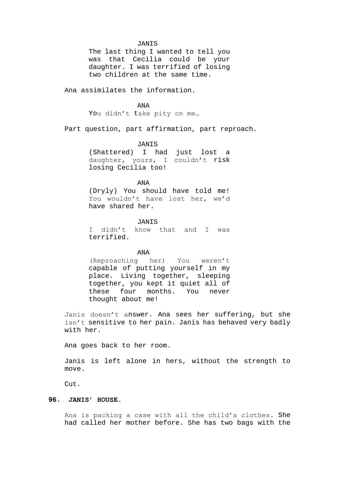#### JANIS

The last thing I wanted to tell you was that Cecilia could be your daughter. I was terrified of losing two children at the same time.

Ana assimilates the information.

ANA

You didn't take pity on me...

Part question, part affirmation, part reproach.

JANIS

(Shattered) I had just lost a daughter, yours, I couldn't risk losing Cecilia too!

ANA (Dryly) You should have told me! You wouldn't have lost her, we'd have shared her.

> JANIS I didn't know that and I was terrified.

> > ANA

(Reproaching her) You weren't capable of putting yourself in my place. Living together, sleeping together, you kept it quiet all of these four months. You never thought about me!

Janis doesn't answer. Ana sees her suffering, but she isn't sensitive to her pain. Janis has behaved very badly with her.

Ana goes back to her room.

Janis is left alone in hers, without the strength to move.

Cut.

# **96. JANIS' HOUSE.**

Ana is packing a case with all the child's clothes. She had called her mother before. She has two bags with the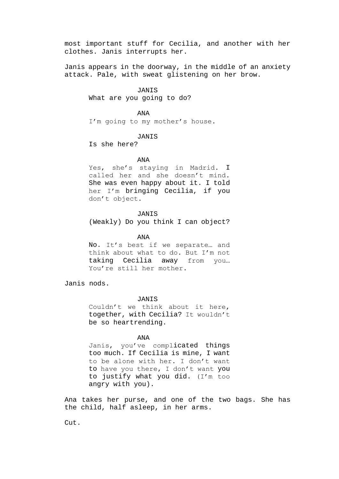most important stuff for Cecilia, and another with her clothes. Janis interrupts her.

Janis appears in the doorway, in the middle of an anxiety attack. Pale, with sweat glistening on her brow.

> JANIS What are you going to do?

> > ANA

I'm going to my mother's house.

# JANIS

Is she here?

### ANA

Yes, she's staying in Madrid. I called her and she doesn't mind. She was even happy about it. I told her I'm bringing Cecilia, if you don't object.

# JANIS

(Weakly) Do you think I can object?

ANA

No. It's best if we separate… and think about what to do. But I'm not taking Cecilia away from you… You're still her mother.

Janis nods.

**JANIS** 

Couldn't we think about it here, together, with Cecilia? It wouldn't be so heartrending.

### ANA

Janis, you've complicated things too much. If Cecilia is mine, I want to be alone with her. I don't want to have you there, I don't want you to justify what you did. (I'm too angry with you).

Ana takes her purse, and one of the two bags. She has the child, half asleep, in her arms.

Cut.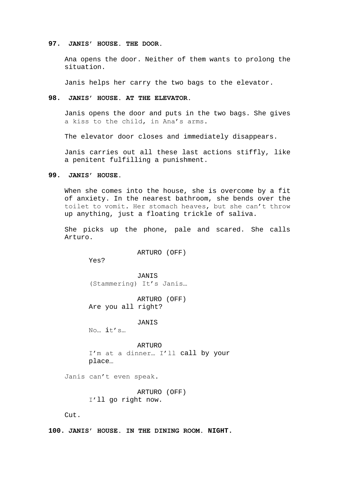# **97. JANIS' HOUSE. THE DOOR.**

Ana opens the door. Neither of them wants to prolong the situation.

Janis helps her carry the two bags to the elevator.

# **98. JANIS' HOUSE. AT THE ELEVATOR.**

Janis opens the door and puts in the two bags. She gives a kiss to the child, in Ana's arms.

The elevator door closes and immediately disappears.

Janis carries out all these last actions stiffly, like a penitent fulfilling a punishment.

# **99. JANIS' HOUSE.**

When she comes into the house, she is overcome by a fit of anxiety. In the nearest bathroom, she bends over the toilet to vomit. Her stomach heaves, but she can't throw up anything, just a floating trickle of saliva.

She picks up the phone, pale and scared. She calls Arturo.

ARTURO (OFF)

Yes?

JANIS (Stammering) It's Janis…

ARTURO (OFF) Are you all right?

JANIS

No… it's…

ARTURO I'm at a dinner… I'll call by your place…

Janis can't even speak.

ARTURO (OFF) I'll go right now.

Cut.

**100. JANIS' HOUSE. IN THE DINING ROOM. NIGHT.**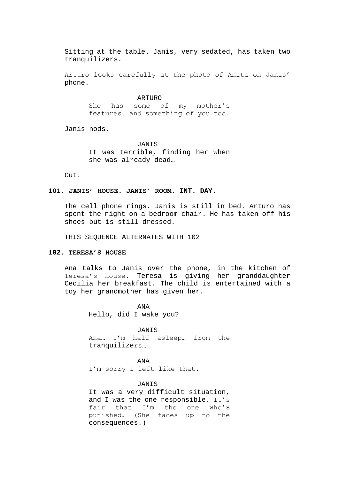Sitting at the table. Janis, very sedated, has taken two tranquilizers.

Arturo looks carefully at the photo of Anita on Janis' phone.

> ARTURO She has some of my mother's features… and something of you too.

Janis nods.

JANIS It was terrible, finding her when she was already dead…

Cut.

# **101. JANIS' HOUSE. JANIS' ROOM. INT. DAY.**

The cell phone rings. Janis is still in bed. Arturo has spent the night on a bedroom chair. He has taken off his shoes but is still dressed.

THIS SEQUENCE ALTERNATES WITH 102

# **102. TERESA'S HOUSE**

Ana talks to Janis over the phone, in the kitchen of Teresa's house. Teresa is giving her granddaughter Cecilia her breakfast. The child is entertained with a toy her grandmother has given her.

ANA

Hello, did I wake you?

JANIS Ana… I'm half asleep… from the tranquilizers…

ANA I'm sorry I left like that.

JANIS

It was a very difficult situation, and I was the one responsible. It's fair that I'm the one who's punished… (She faces up to the consequences.)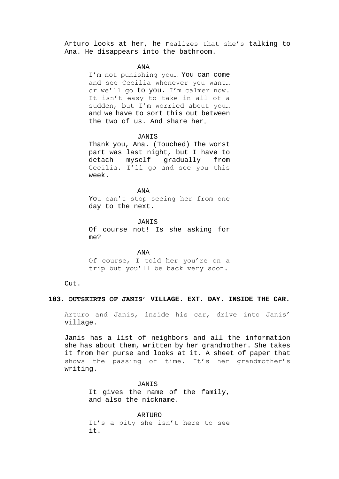Arturo looks at her, he realizes that she's talking to Ana. He disappears into the bathroom.

### ANA

I'm not punishing you… You can come and see Cecilia whenever you want… or we'll go to you. I'm calmer now. It isn't easy to take in all of a sudden, but I'm worried about you… and we have to sort this out between the two of us. And share her…

#### JANIS

Thank you, Ana. (Touched) The worst part was last night, but I have to detach myself gradually from Cecilia. I'll go and see you this week.

## ANA

You can't stop seeing her from one day to the next.

JANIS

Of course not! Is she asking for me?

ANA

Of course, I told her you're on a trip but you'll be back very soon.

Cut.

# **103. OUTSKIRTS OF JANIS' VILLAGE. EXT. DAY. INSIDE THE CAR.**

Arturo and Janis, inside his car, drive into Janis' village.

Janis has a list of neighbors and all the information she has about them, written by her grandmother. She takes it from her purse and looks at it. A sheet of paper that shows the passing of time. It's her grandmother's writing.

> JANIS It gives the name of the family, and also the nickname.

ARTURO It's a pity she isn't here to see it.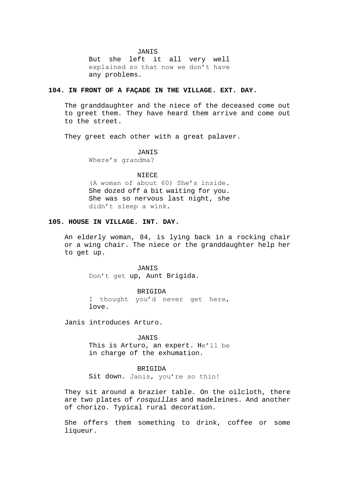#### JANIS

But she left it all very well explained so that now we don't have any problems.

# **104. IN FRONT OF A FAÇADE IN THE VILLAGE. EXT. DAY.**

The granddaughter and the niece of the deceased come out to greet them. They have heard them arrive and come out to the street.

They greet each other with a great palaver.

# JANIS

Where's grandma?

# NIECE

(A woman of about 60) She's inside. She dozed off a bit waiting for you. She was so nervous last night, she didn't sleep a wink.

# **105. HOUSE IN VILLAGE. INT. DAY.**

An elderly woman, 84, is lying back in a rocking chair or a wing chair. The niece or the granddaughter help her to get up.

> JANIS Don't get up, Aunt Brigida.

BRIGIDA I thought you'd never get here, love.

Janis introduces Arturo.

JANIS

This is Arturo, an expert. He'll be in charge of the exhumation.

#### **BRIGIDA**

Sit down. Janis, you're so thin!

They sit around a brazier table. On the oilcloth, there are two plates of *rosquillas* and madeleines. And another of chorizo. Typical rural decoration.

She offers them something to drink, coffee or some liqueur.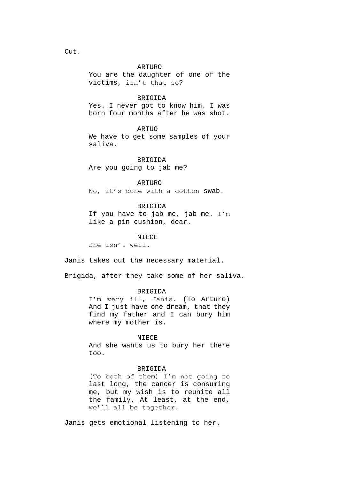#### ARTURO

You are the daughter of one of the victims, isn't that so?

#### BRIGIDA

Yes. I never got to know him. I was born four months after he was shot.

**ARTUO** 

We have to get some samples of your saliva.

BRIGIDA Are you going to jab me?

ARTURO No, it's done with a cotton swab.

BRIGIDA

If you have to jab me, jab me. I'm like a pin cushion, dear.

NIECE

She isn't well.

Janis takes out the necessary material.

Brigida, after they take some of her saliva.

# BRIGIDA

I'm very ill, Janis. (To Arturo) And I just have one dream, that they find my father and I can bury him where my mother is.

#### NIECE

And she wants us to bury her there too.

#### BRIGIDA

(To both of them) I'm not going to last long, the cancer is consuming me, but my wish is to reunite all the family. At least, at the end, we'll all be together.

Janis gets emotional listening to her.

Cut.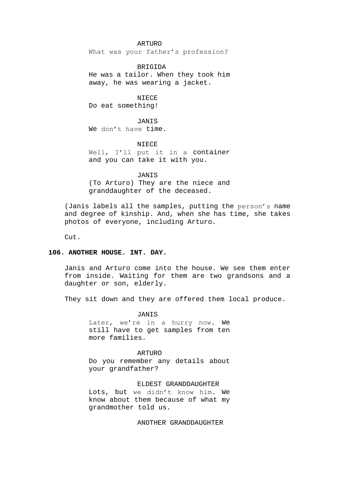ARTURO

What was your father's profession?

BRIGIDA He was a tailor. When they took him away, he was wearing a jacket.

NIECE Do eat something!

JANIS We don't have time.

NIECE

Well, I'll put it in a container and you can take it with you.

JANIS (To Arturo) They are the niece and granddaughter of the deceased.

(Janis labels all the samples, putting the person's name and degree of kinship. And, when she has time, she takes photos of everyone, including Arturo.

Cut.

# **106. ANOTHER HOUSE. INT. DAY.**

Janis and Arturo come into the house. We see them enter from inside. Waiting for them are two grandsons and a daughter or son, elderly.

They sit down and they are offered them local produce.

JANIS Later, we're in a hurry now. We still have to get samples from ten more families.

ARTURO Do you remember any details about your grandfather?

ELDEST GRANDDAUGHTER Lots, but we didn't know him. We know about them because of what my grandmother told us.

ANOTHER GRANDDAUGHTER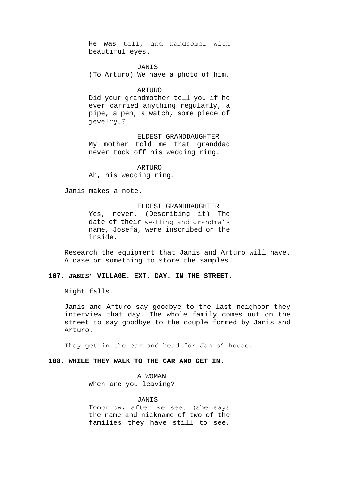He was tall, and handsome… with beautiful eyes.

JANIS

(To Arturo) We have a photo of him.

#### ARTURO

Did your grandmother tell you if he ever carried anything regularly, a pipe, a pen, a watch, some piece of jewelry…?

### ELDEST GRANDDAUGHTER

My mother told me that granddad never took off his wedding ring.

ARTURO Ah, his wedding ring.

Janis makes a note.

## ELDEST GRANDDAUGHTER

Yes, never. (Describing it) The date of their wedding and grandma's name, Josefa, were inscribed on the inside.

Research the equipment that Janis and Arturo will have. A case or something to store the samples.

# **107. JANIS' VILLAGE. EXT. DAY. IN THE STREET.**

Night falls.

Janis and Arturo say goodbye to the last neighbor they interview that day. The whole family comes out on the street to say goodbye to the couple formed by Janis and Arturo.

They get in the car and head for Janis' house.

# **108. WHILE THEY WALK TO THE CAR AND GET IN.**

A WOMAN When are you leaving?

#### JANIS

Tomorrow, after we see… (she says the name and nickname of two of the families they have still to see.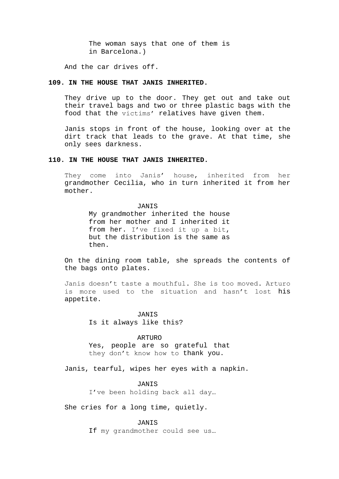The woman says that one of them is in Barcelona.)

And the car drives off.

### **109. IN THE HOUSE THAT JANIS INHERITED.**

They drive up to the door. They get out and take out their travel bags and two or three plastic bags with the food that the victims' relatives have given them.

Janis stops in front of the house, looking over at the dirt track that leads to the grave. At that time, she only sees darkness.

# **110. IN THE HOUSE THAT JANIS INHERITED.**

They come into Janis' house, inherited from her grandmother Cecilia, who in turn inherited it from her mother.

### JANIS

My grandmother inherited the house from her mother and I inherited it from her. I've fixed it up a bit, but the distribution is the same as then.

On the dining room table, she spreads the contents of the bags onto plates.

Janis doesn't taste a mouthful. She is too moved. Arturo is more used to the situation and hasn't lost his appetite.

# JANIS

Is it always like this?

#### ARTURO

Yes, people are so grateful that they don't know how to thank you.

Janis, tearful, wipes her eyes with a napkin.

### JANIS

I've been holding back all day…

She cries for a long time, quietly.

## JANIS

If my grandmother could see us…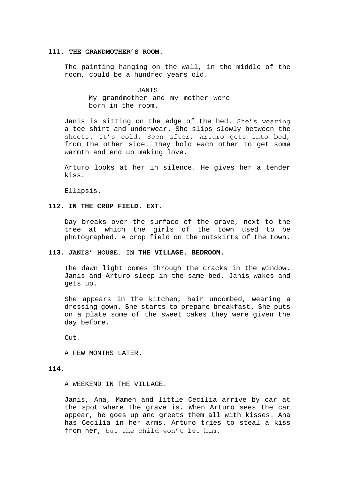### **111. THE GRANDMOTHER'S ROOM.**

The painting hanging on the wall, in the middle of the room, could be a hundred years old.

> JANIS My grandmother and my mother were born in the room.

Janis is sitting on the edge of the bed. She's wearing a tee shirt and underwear. She slips slowly between the sheets. It's cold. Soon after, Arturo gets into bed, from the other side. They hold each other to get some warmth and end up making love.

Arturo looks at her in silence. He gives her a tender kiss.

Ellipsis.

### **112. IN THE CROP FIELD. EXT.**

Day breaks over the surface of the grave, next to the tree at which the girls of the town used to be photographed. A crop field on the outskirts of the town.

# **113. JANIS' HOUSE. IN THE VILLAGE. BEDROOM.**

The dawn light comes through the cracks in the window. Janis and Arturo sleep in the same bed. Janis wakes and gets up.

She appears in the kitchen, hair uncombed, wearing a dressing gown. She starts to prepare breakfast. She puts on a plate some of the sweet cakes they were given the day before.

Cut.

A FEW MONTHS LATER.

# **114.**

A WEEKEND IN THE VILLAGE.

Janis, Ana, Mamen and little Cecilia arrive by car at the spot where the grave is. When Arturo sees the car appear, he goes up and greets them all with kisses. Ana has Cecilia in her arms. Arturo tries to steal a kiss from her, but the child won't let him.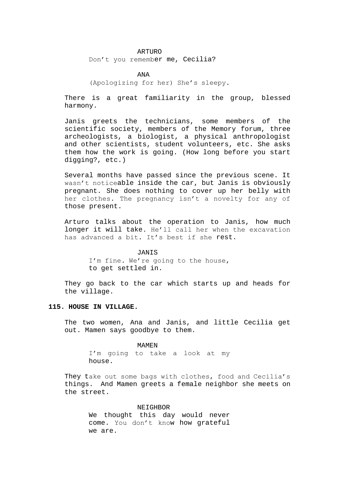#### ARTURO

Don't you remember me, Cecilia?

#### ANA

(Apologizing for her) She's sleepy.

There is a great familiarity in the group, blessed harmony.

Janis greets the technicians, some members of the scientific society, members of the Memory forum, three archeologists, a biologist, a physical anthropologist and other scientists, student volunteers, etc. She asks them how the work is going. (How long before you start digging?, etc.)

Several months have passed since the previous scene. It wasn't noticeable inside the car, but Janis is obviously pregnant. She does nothing to cover up her belly with her clothes. The pregnancy isn't a novelty for any of those present.

Arturo talks about the operation to Janis, how much longer it will take. He'll call her when the excavation has advanced a bit. It's best if she rest.

#### JANIS

I'm fine. We're going to the house, to get settled in.

They go back to the car which starts up and heads for the village.

### **115. HOUSE IN VILLAGE.**

The two women, Ana and Janis, and little Cecilia get out. Mamen says goodbye to them.

#### MAMEN

I'm going to take a look at my house.

They take out some bags with clothes, food and Cecilia's things. And Mamen greets a female neighbor she meets on the street.

> NEIGHBOR We thought this day would never come. You don't know how grateful we are.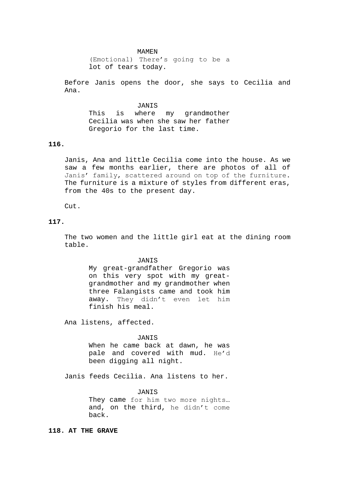#### MAMEN

(Emotional) There's going to be a lot of tears today.

Before Janis opens the door, she says to Cecilia and Ana.

#### JANIS

This is where my grandmother Cecilia was when she saw her father Gregorio for the last time.

# **116.**

Janis, Ana and little Cecilia come into the house. As we saw a few months earlier, there are photos of all of Janis' family, scattered around on top of the furniture. The furniture is a mixture of styles from different eras, from the 40s to the present day.

Cut.

# **117.**

The two women and the little girl eat at the dining room table.

## JANIS

My great-grandfather Gregorio was on this very spot with my greatgrandmother and my grandmother when three Falangists came and took him away. They didn't even let him finish his meal.

Ana listens, affected.

### JANIS

When he came back at dawn, he was pale and covered with mud. He'd been digging all night.

Janis feeds Cecilia. Ana listens to her.

JANIS They came for him two more nights... and, on the third, he didn't come back.

# **118. AT THE GRAVE**